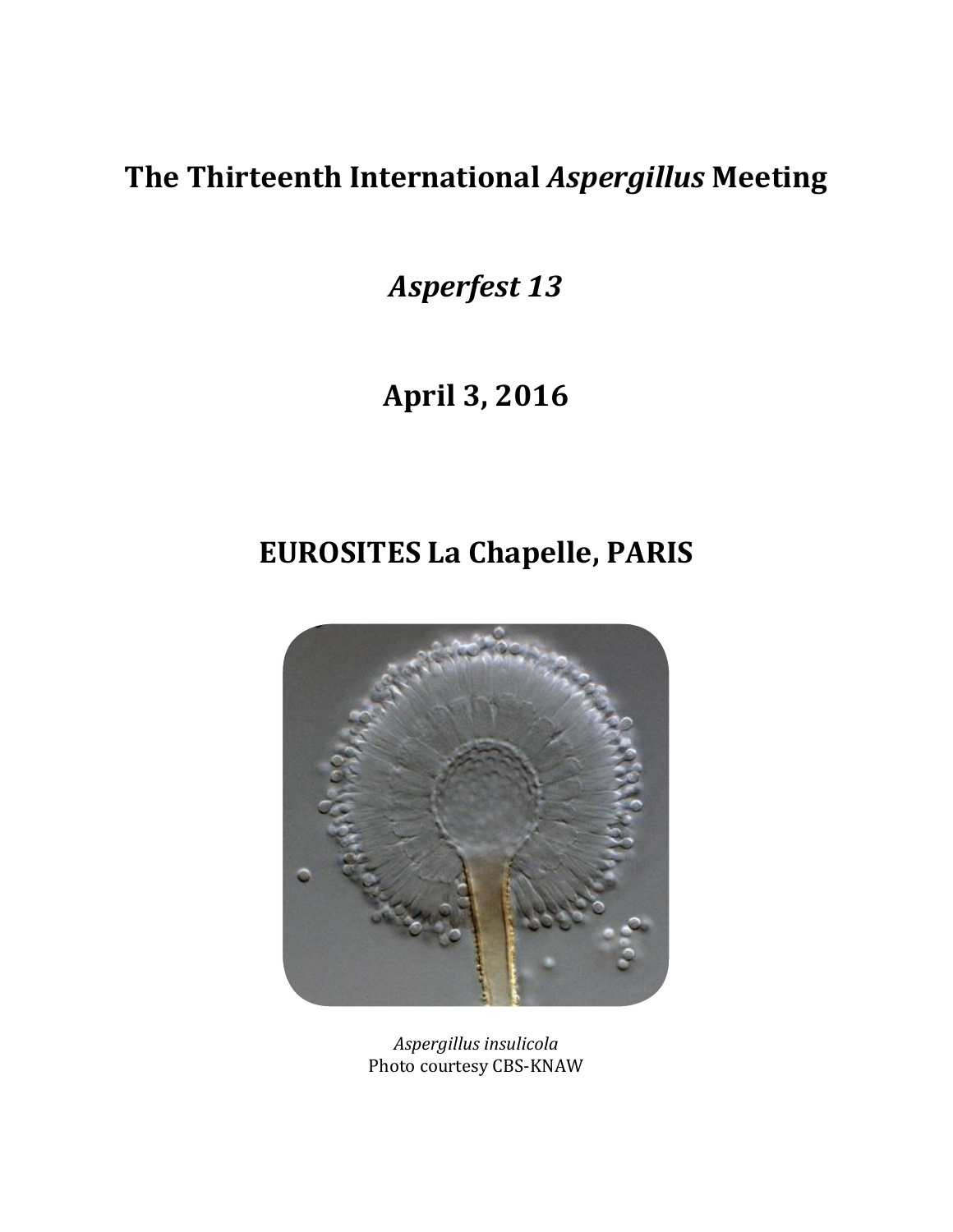# **The Thirteenth International** *Aspergillus* **Meeting**

*Asperfest 13*

# **April 3, 2016**

# **EUROSITES La Chapelle, PARIS**



*Aspergillus insulicola* Photo courtesy CBS-KNAW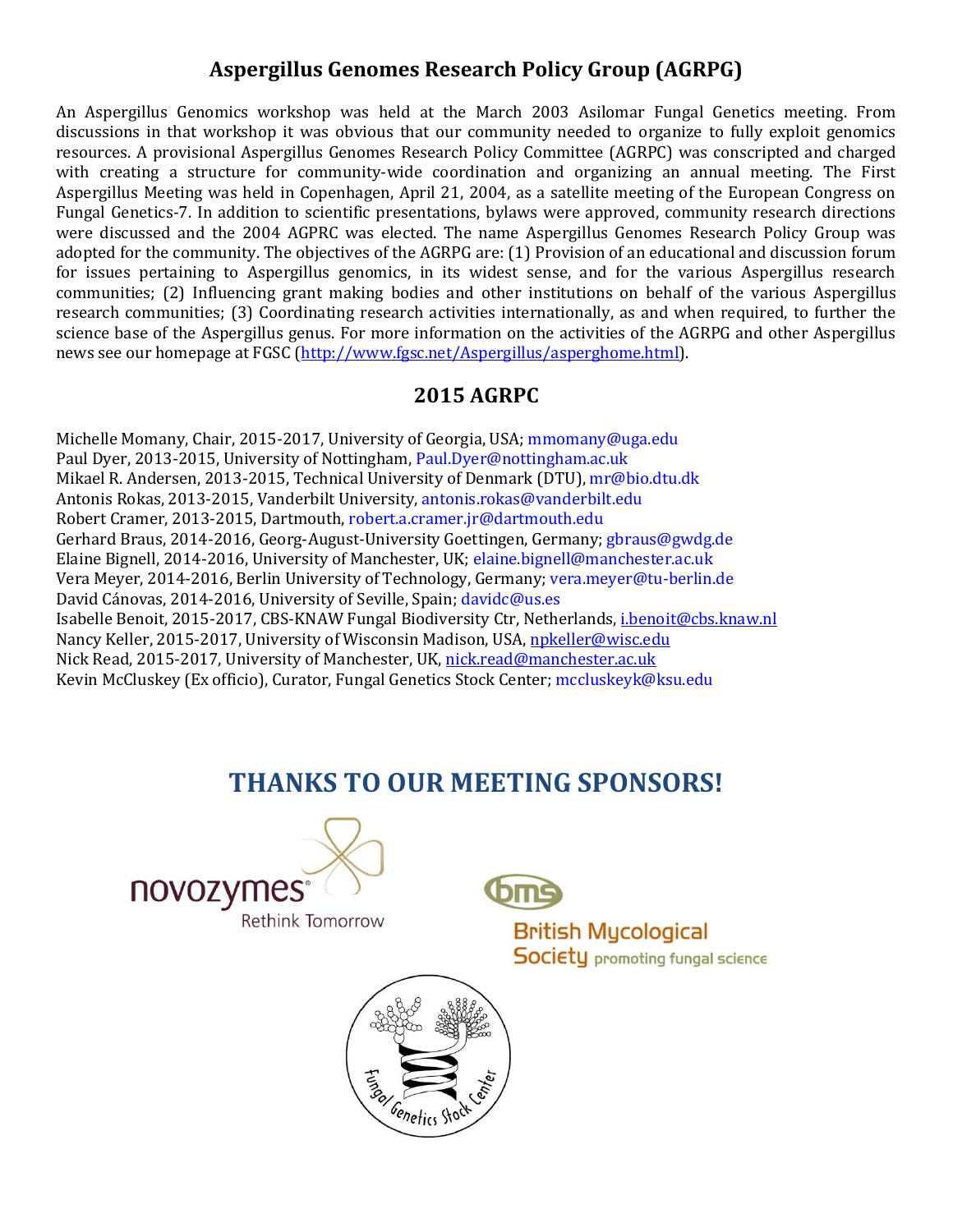### **Aspergillus Genomes Research Policy Group (AGRPG)**

An Aspergillus Genomics workshop was held at the March 2003 Asilomar Fungal Genetics meeting. From discussions in that workshop it was obvious that our community needed to organize to fully exploit genomics resources. A provisional Aspergillus Genomes Research Policy Committee (AGRPC) was conscripted and charged with creating a structure for community-wide coordination and organizing an annual meeting. The First Aspergillus Meeting was held in Copenhagen, April 21, 2004, as a satellite meeting of the European Congress on Fungal Genetics-7. In addition to scientific presentations, bylaws were approved, community research directions were discussed and the 2004 AGPRC was elected. The name Aspergillus Genomes Research Policy Group was adopted for the community. The objectives of the AGRPG are: (1) Provision of an educational and discussion forum for issues pertaining to Aspergillus genomics, in its widest sense, and for the various Aspergillus research communities; (2) Influencing grant making bodies and other institutions on behalf of the various Aspergillus research communities; (3) Coordinating research activities internationally, as and when required, to further the science base of the Aspergillus genus. For more information on the activities of the AGRPG and other Aspergillus news see our homepage at FGSC [\(http://www.fgsc.net/Aspergillus/asperghome.html\)](http://www.fgsc.net/Aspergillus/asperghome.html).

### **2015 AGRPC**

Michelle Momany, Chair, 2015-2017, University of Georgia, USA; mmomany@uga.edu Paul Dyer, 2013-2015, University of Nottingham, Paul.Dyer@nottingham.ac.uk Mikael R. Andersen, 2013-2015, Technical University of Denmark (DTU), mr@bio.dtu.dk Antonis Rokas, 2013-2015, Vanderbilt University, antonis.rokas@vanderbilt.edu Robert Cramer, 2013-2015, Dartmouth, robert.a.cramer.jr@dartmouth.edu Gerhard Braus, 2014-2016, Georg-August-University Goettingen, Germany; gbraus@gwdg.de Elaine Bignell, 2014-2016, University of Manchester, UK; elaine.bignell@manchester.ac.uk Vera Meyer, 2014-2016, Berlin University of Technology, Germany; vera.meyer@tu-berlin.de David Cánovas, 2014-2016, University of Seville, Spain; davidc@us.es Isabelle Benoit, 2015-2017, CBS-KNAW Fungal Biodiversity Ctr, Netherlands, [i.benoit@cbs.knaw.nl](mailto:i.benoit@cbs.knaw.nl) Nancy Keller, 2015-2017, University of Wisconsin Madison, USA[, npkeller@wisc.edu](mailto:npkeller@wisc.edu) Nick Read, 2015-2017, University of Manchester, UK, [nick.read@manchester.ac.uk](mailto:nick.read@manchester.ac.uk) Kevin McCluskey (Ex officio), Curator, Fungal Genetics Stock Center; mccluskeyk@ksu.edu

## **THANKS TO OUR MEETING SPONSORS!**





**British Mycological Society** promoting fungal science

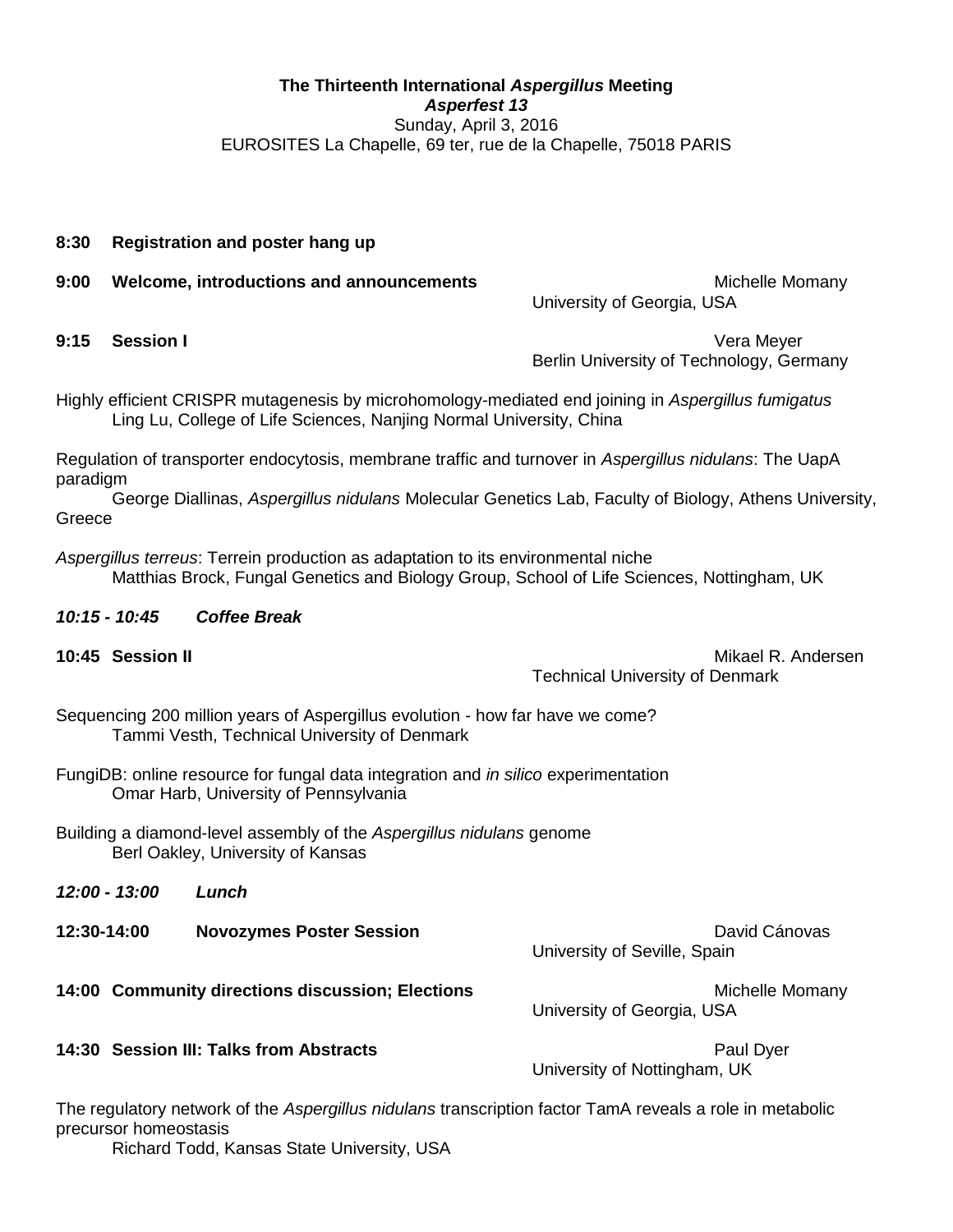### **The Thirteenth International** *Aspergillus* **Meeting**  *Asperfest 13* Sunday, April 3, 2016 EUROSITES La Chapelle, 69 ter, rue de la Chapelle, 75018 PARIS

### **8:30 Registration and poster hang up**

**9:00 Welcome, introductions and announcements Michelle Momant Michelle Momant** 

University of Georgia, USA

**9:15 Session I** Vera Meyer Berlin University of Technology, Germany

Highly efficient CRISPR mutagenesis by microhomology-mediated end joining in *Aspergillus fumigatus* Ling Lu, College of Life Sciences, Nanjing Normal University, China

Regulation of transporter endocytosis, membrane traffic and turnover in *Aspergillus nidulans*: The UapA paradigm

George Diallinas, *Aspergillus nidulans* Molecular Genetics Lab, Faculty of Biology, Athens University, Greece

*Aspergillus terreus*: Terrein production as adaptation to its environmental niche Matthias Brock, Fungal Genetics and Biology Group, School of Life Sciences, Nottingham, UK

### *10:15 - 10:45 Coffee Break*

| 10:45 Session II |  |
|------------------|--|
|                  |  |

**10:45 Session II** Mikael R. Andersen Technical University of Denmark

Sequencing 200 million years of Aspergillus evolution - how far have we come? Tammi Vesth, Technical University of Denmark

- FungiDB: online resource for fungal data integration and *in silico* experimentation Omar Harb, University of Pennsylvania
- Building a diamond-level assembly of the *Aspergillus nidulans* genome Berl Oakley, University of Kansas

| 12:00 - 13:00 | Lunch                                            |                                               |
|---------------|--------------------------------------------------|-----------------------------------------------|
| 12:30-14:00   | <b>Novozymes Poster Session</b>                  | David Cánovas<br>University of Seville, Spain |
|               | 14:00 Community directions discussion; Elections | Michelle Momany<br>University of Georgia, USA |
|               | 14:30 Session III: Talks from Abstracts          | Paul Dyer                                     |

University of Nottingham, UK

The regulatory network of the *Aspergillus nidulans* transcription factor TamA reveals a role in metabolic precursor homeostasis

Richard Todd, Kansas State University, USA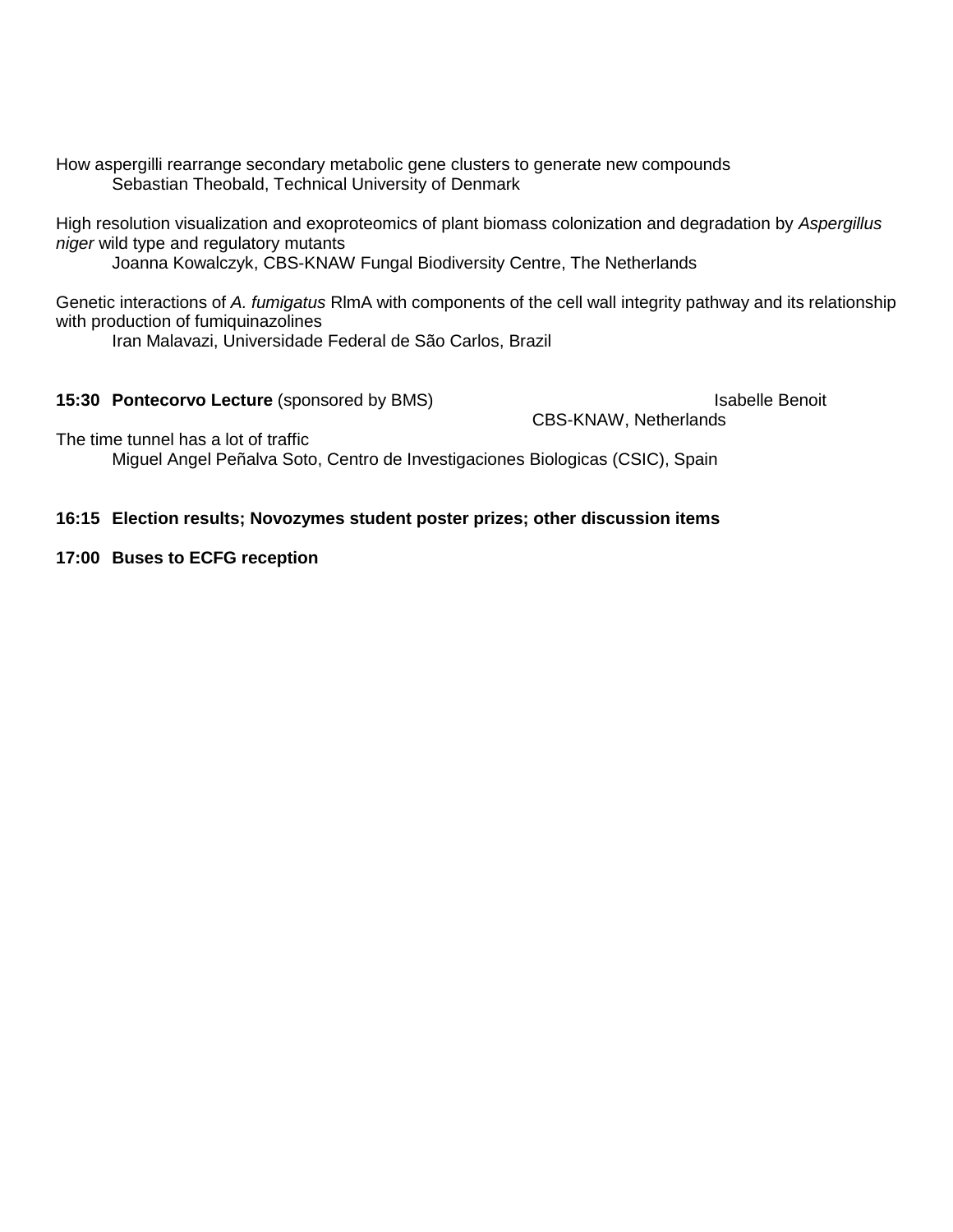How aspergilli rearrange secondary metabolic gene clusters to generate new compounds Sebastian Theobald, Technical University of Denmark

High resolution visualization and exoproteomics of plant biomass colonization and degradation by *Aspergillus niger* wild type and regulatory mutants

Joanna Kowalczyk, CBS-KNAW Fungal Biodiversity Centre, The Netherlands

Genetic interactions of *A. fumigatus* RlmA with components of the cell wall integrity pathway and its relationship with production of fumiquinazolines

Iran Malavazi, Universidade Federal de São Carlos, Brazil

**15:30 Pontecorvo Lecture** (sponsored by BMS) Isabelle Benoit

CBS-KNAW, Netherlands

The time tunnel has a lot of traffic

Miguel Angel Peñalva Soto, Centro de Investigaciones Biologicas (CSIC), Spain

### **16:15 Election results; Novozymes student poster prizes; other discussion items**

### **17:00 Buses to ECFG reception**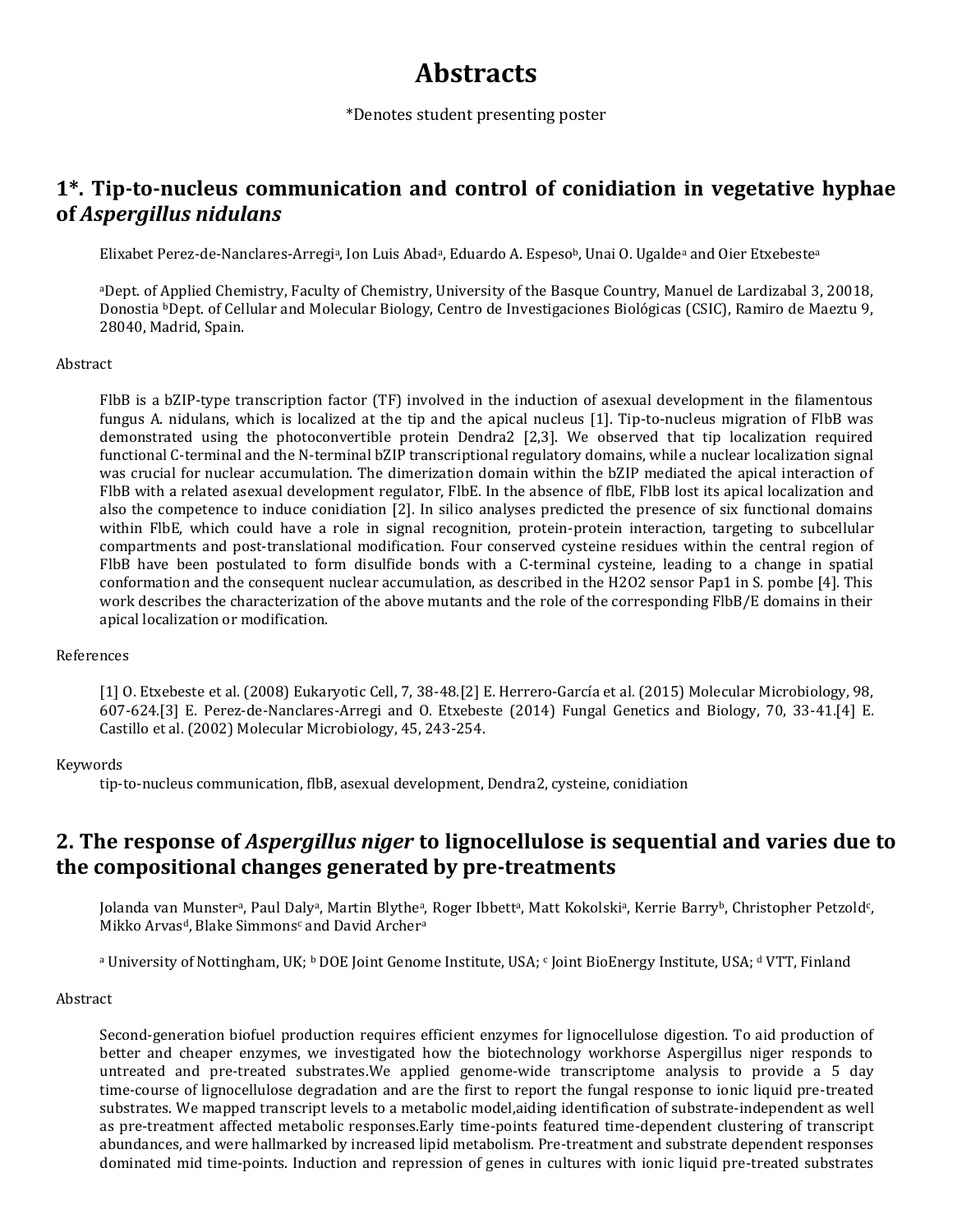## **Abstracts**

\*Denotes student presenting poster

### **1\*. Tip-to-nucleus communication and control of conidiation in vegetative hyphae of** *Aspergillus nidulans*

Elixabet Perez-de-Nanclares-Arregiª, Ion Luis Abadª, Eduardo A. Espesoʰ, Unai O. Ugaldeª and Oier Etxebesteª

<sup>a</sup>Dept. of Applied Chemistry, Faculty of Chemistry, University of the Basque Country, Manuel de Lardizabal 3, 20018, Donostia bDept. of Cellular and Molecular Biology, Centro de Investigaciones Biológicas (CSIC), Ramiro de Maeztu 9, 28040, Madrid, Spain.

### Abstract

FlbB is a bZIP-type transcription factor (TF) involved in the induction of asexual development in the filamentous fungus A. nidulans, which is localized at the tip and the apical nucleus [1]. Tip-to-nucleus migration of FlbB was demonstrated using the photoconvertible protein Dendra2 [2,3]. We observed that tip localization required functional C-terminal and the N-terminal bZIP transcriptional regulatory domains, while a nuclear localization signal was crucial for nuclear accumulation. The dimerization domain within the bZIP mediated the apical interaction of FlbB with a related asexual development regulator, FlbE. In the absence of flbE, FlbB lost its apical localization and also the competence to induce conidiation [2]. In silico analyses predicted the presence of six functional domains within FlbE, which could have a role in signal recognition, protein-protein interaction, targeting to subcellular compartments and post-translational modification. Four conserved cysteine residues within the central region of FlbB have been postulated to form disulfide bonds with a C-terminal cysteine, leading to a change in spatial conformation and the consequent nuclear accumulation, as described in the H2O2 sensor Pap1 in S. pombe [4]. This work describes the characterization of the above mutants and the role of the corresponding FlbB/E domains in their apical localization or modification.

### References

[1] O. Etxebeste et al. (2008) Eukaryotic Cell, 7, 38-48.[2] E. Herrero-García et al. (2015) Molecular Microbiology, 98, 607-624.[3] E. Perez-de-Nanclares-Arregi and O. Etxebeste (2014) Fungal Genetics and Biology, 70, 33-41.[4] E. Castillo et al. (2002) Molecular Microbiology, 45, 243-254.

### Keywords

tip-to-nucleus communication, flbB, asexual development, Dendra2, cysteine, conidiation

### **2. The response of** *Aspergillus niger* **to lignocellulose is sequential and varies due to the compositional changes generated by pre-treatments**

Jolanda van Munstera, Paul Dalya, Martin Blythea, Roger Ibbetta, Matt Kokolskia, Kerrie Barryb, Christopher Petzold $\mathfrak{c}$ , Mikko Arvas<sup>d</sup>, Blake Simmons<sup>c</sup> and David Archer<sup>a</sup>

a University of Nottingham, UK; <sup>b</sup> DOE Joint Genome Institute, USA; <sup>c</sup> Joint BioEnergy Institute, USA; <sup>d</sup> VTT, Finland

### Abstract

Second-generation biofuel production requires efficient enzymes for lignocellulose digestion. To aid production of better and cheaper enzymes, we investigated how the biotechnology workhorse Aspergillus niger responds to untreated and pre-treated substrates.We applied genome-wide transcriptome analysis to provide a 5 day time-course of lignocellulose degradation and are the first to report the fungal response to ionic liquid pre-treated substrates. We mapped transcript levels to a metabolic model,aiding identification of substrate-independent as well as pre-treatment affected metabolic responses.Early time-points featured time-dependent clustering of transcript abundances, and were hallmarked by increased lipid metabolism. Pre-treatment and substrate dependent responses dominated mid time-points. Induction and repression of genes in cultures with ionic liquid pre-treated substrates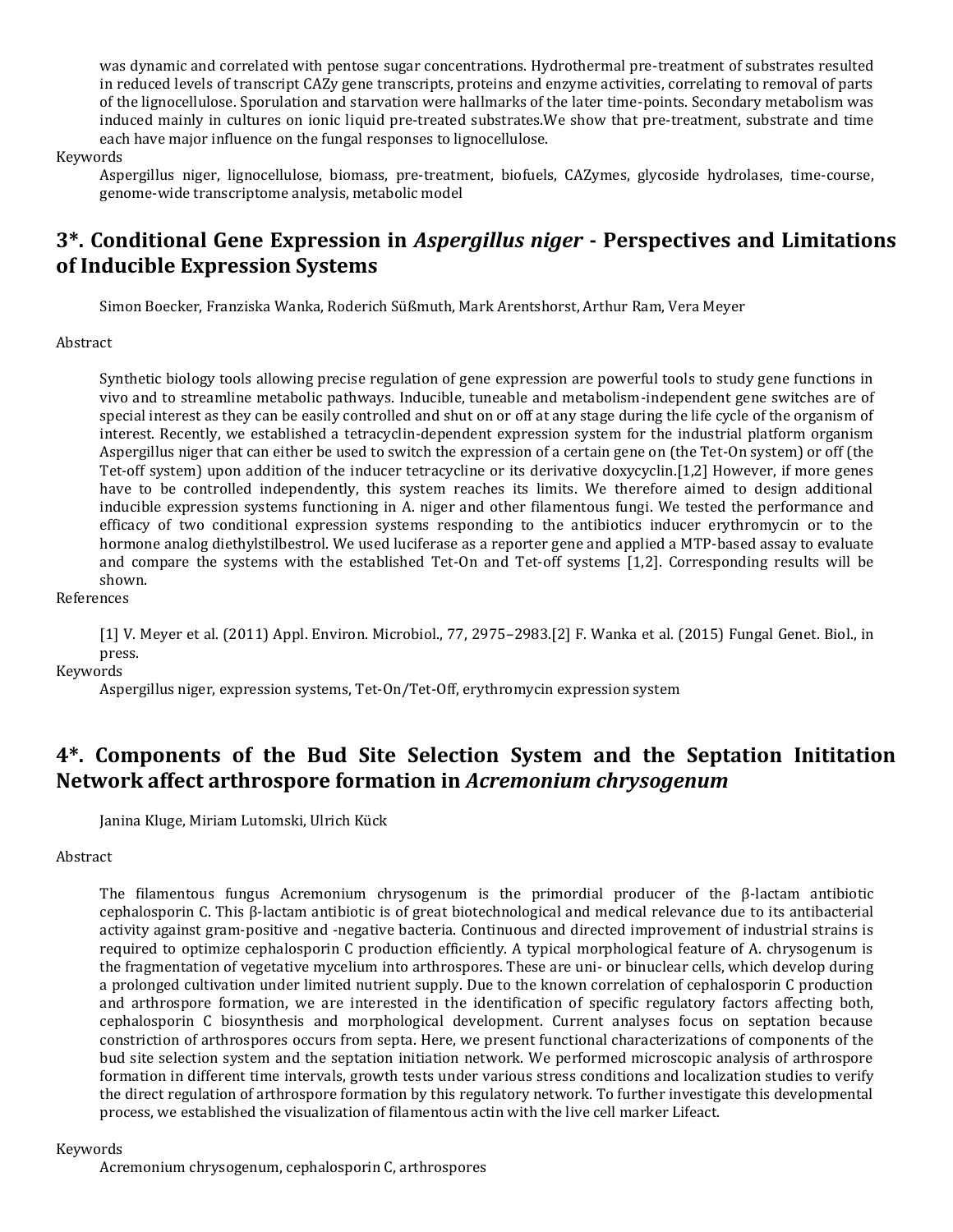was dynamic and correlated with pentose sugar concentrations. Hydrothermal pre-treatment of substrates resulted in reduced levels of transcript CAZy gene transcripts, proteins and enzyme activities, correlating to removal of parts of the lignocellulose. Sporulation and starvation were hallmarks of the later time-points. Secondary metabolism was induced mainly in cultures on ionic liquid pre-treated substrates.We show that pre-treatment, substrate and time each have major influence on the fungal responses to lignocellulose.

#### Keywords

Aspergillus niger, lignocellulose, biomass, pre-treatment, biofuels, CAZymes, glycoside hydrolases, time-course, genome-wide transcriptome analysis, metabolic model

### **3\*. Conditional Gene Expression in** *Aspergillus niger* **- Perspectives and Limitations of Inducible Expression Systems**

Simon Boecker, Franziska Wanka, Roderich Süßmuth, Mark Arentshorst, Arthur Ram, Vera Meyer

Abstract

Synthetic biology tools allowing precise regulation of gene expression are powerful tools to study gene functions in vivo and to streamline metabolic pathways. Inducible, tuneable and metabolism-independent gene switches are of special interest as they can be easily controlled and shut on or off at any stage during the life cycle of the organism of interest. Recently, we established a tetracyclin-dependent expression system for the industrial platform organism Aspergillus niger that can either be used to switch the expression of a certain gene on (the Tet-On system) or off (the Tet-off system) upon addition of the inducer tetracycline or its derivative doxycyclin.[1,2] However, if more genes have to be controlled independently, this system reaches its limits. We therefore aimed to design additional inducible expression systems functioning in A. niger and other filamentous fungi. We tested the performance and efficacy of two conditional expression systems responding to the antibiotics inducer erythromycin or to the hormone analog diethylstilbestrol. We used luciferase as a reporter gene and applied a MTP-based assay to evaluate and compare the systems with the established Tet-On and Tet-off systems [1,2]. Corresponding results will be shown.

References

[1] V. Meyer et al. (2011) Appl. Environ. Microbiol., 77, 2975–2983.[2] F. Wanka et al. (2015) Fungal Genet. Biol., in press.

Keywords

Aspergillus niger, expression systems, Tet-On/Tet-Off, erythromycin expression system

### **4\*. Components of the Bud Site Selection System and the Septation Inititation Network affect arthrospore formation in** *Acremonium chrysogenum*

Janina Kluge, Miriam Lutomski, Ulrich Kück

### Abstract

The filamentous fungus Acremonium chrysogenum is the primordial producer of the β-lactam antibiotic cephalosporin C. This β-lactam antibiotic is of great biotechnological and medical relevance due to its antibacterial activity against gram-positive and -negative bacteria. Continuous and directed improvement of industrial strains is required to optimize cephalosporin C production efficiently. A typical morphological feature of A. chrysogenum is the fragmentation of vegetative mycelium into arthrospores. These are uni- or binuclear cells, which develop during a prolonged cultivation under limited nutrient supply. Due to the known correlation of cephalosporin C production and arthrospore formation, we are interested in the identification of specific regulatory factors affecting both, cephalosporin C biosynthesis and morphological development. Current analyses focus on septation because constriction of arthrospores occurs from septa. Here, we present functional characterizations of components of the bud site selection system and the septation initiation network. We performed microscopic analysis of arthrospore formation in different time intervals, growth tests under various stress conditions and localization studies to verify the direct regulation of arthrospore formation by this regulatory network. To further investigate this developmental process, we established the visualization of filamentous actin with the live cell marker Lifeact.

#### Keywords

Acremonium chrysogenum, cephalosporin C, arthrospores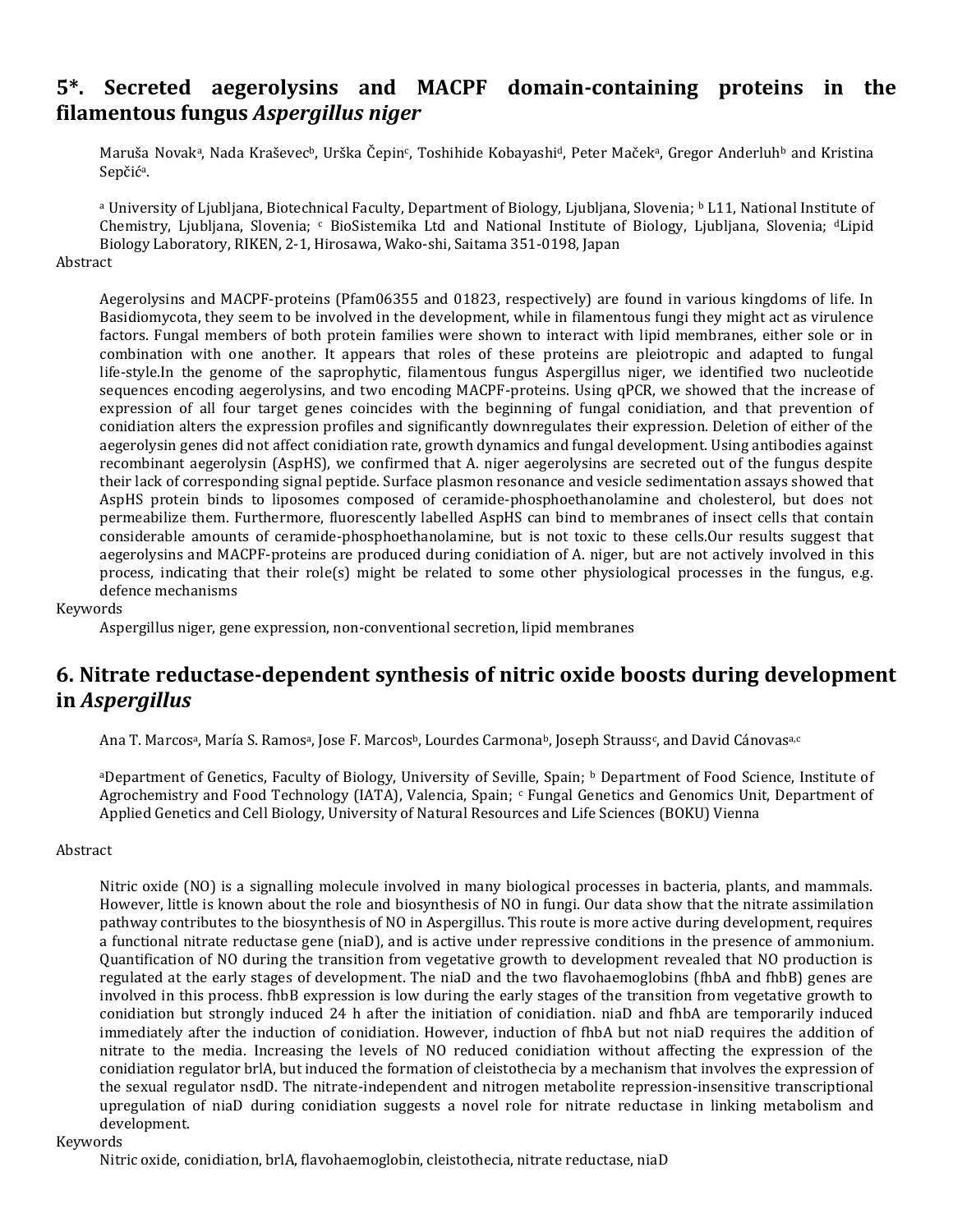### **5\*. Secreted aegerolysins and MACPF domain-containing proteins in the filamentous fungus** *Aspergillus niger*

Maruša Novakª, Nada Kraševecʰ, Urška Čepin¢, Toshihide Kobayashiª, Peter Mačekª, Gregor Anderluhʰ and Kristina Sepčić<sup>a</sup>.

<sup>a</sup> University of Ljubljana, Biotechnical Faculty, Department of Biology, Ljubljana, Slovenia; <sup>b</sup> L11, National Institute of Chemistry, Ljubljana, Slovenia; <sup>c</sup> BioSistemika Ltd and National Institute of Biology, Ljubljana, Slovenia; dLipid Biology Laboratory, RIKEN, 2-1, Hirosawa, Wako-shi, Saitama 351-0198, Japan

#### **Abstract**

Aegerolysins and MACPF-proteins (Pfam06355 and 01823, respectively) are found in various kingdoms of life. In Basidiomycota, they seem to be involved in the development, while in filamentous fungi they might act as virulence factors. Fungal members of both protein families were shown to interact with lipid membranes, either sole or in combination with one another. It appears that roles of these proteins are pleiotropic and adapted to fungal life-style.In the genome of the saprophytic, filamentous fungus Aspergillus niger, we identified two nucleotide sequences encoding aegerolysins, and two encoding MACPF-proteins. Using qPCR, we showed that the increase of expression of all four target genes coincides with the beginning of fungal conidiation, and that prevention of conidiation alters the expression profiles and significantly downregulates their expression. Deletion of either of the aegerolysin genes did not affect conidiation rate, growth dynamics and fungal development. Using antibodies against recombinant aegerolysin (AspHS), we confirmed that A. niger aegerolysins are secreted out of the fungus despite their lack of corresponding signal peptide. Surface plasmon resonance and vesicle sedimentation assays showed that AspHS protein binds to liposomes composed of ceramide-phosphoethanolamine and cholesterol, but does not permeabilize them. Furthermore, fluorescently labelled AspHS can bind to membranes of insect cells that contain considerable amounts of ceramide-phosphoethanolamine, but is not toxic to these cells.Our results suggest that aegerolysins and MACPF-proteins are produced during conidiation of A. niger, but are not actively involved in this process, indicating that their role(s) might be related to some other physiological processes in the fungus, e.g. defence mechanisms

#### Keywords

Aspergillus niger, gene expression, non-conventional secretion, lipid membranes

### **6. Nitrate reductase-dependent synthesis of nitric oxide boosts during development in** *Aspergillus*

Ana T. Marcosª, María S. Ramosª, Jose F. Marcosʰ, Lourdes Carmonaʰ, Joseph Strauss¢, and David Cánovasª.c

<sup>a</sup>Department of Genetics, Faculty of Biology, University of Seville, Spain; <sup>b</sup> Department of Food Science, Institute of Agrochemistry and Food Technology (IATA), Valencia, Spain; <sup>c</sup> Fungal Genetics and Genomics Unit, Department of Applied Genetics and Cell Biology, University of Natural Resources and Life Sciences (BOKU) Vienna

### Abstract

Nitric oxide (NO) is a signalling molecule involved in many biological processes in bacteria, plants, and mammals. However, little is known about the role and biosynthesis of NO in fungi. Our data show that the nitrate assimilation pathway contributes to the biosynthesis of NO in Aspergillus. This route is more active during development, requires a functional nitrate reductase gene (niaD), and is active under repressive conditions in the presence of ammonium. Quantification of NO during the transition from vegetative growth to development revealed that NO production is regulated at the early stages of development. The niaD and the two flavohaemoglobins (fhbA and fhbB) genes are involved in this process. fhbB expression is low during the early stages of the transition from vegetative growth to conidiation but strongly induced 24 h after the initiation of conidiation. niaD and fhbA are temporarily induced immediately after the induction of conidiation. However, induction of fhbA but not niaD requires the addition of nitrate to the media. Increasing the levels of NO reduced conidiation without affecting the expression of the conidiation regulator brlA, but induced the formation of cleistothecia by a mechanism that involves the expression of the sexual regulator nsdD. The nitrate-independent and nitrogen metabolite repression-insensitive transcriptional upregulation of niaD during conidiation suggests a novel role for nitrate reductase in linking metabolism and development.

### Keywords

Nitric oxide, conidiation, brlA, flavohaemoglobin, cleistothecia, nitrate reductase, niaD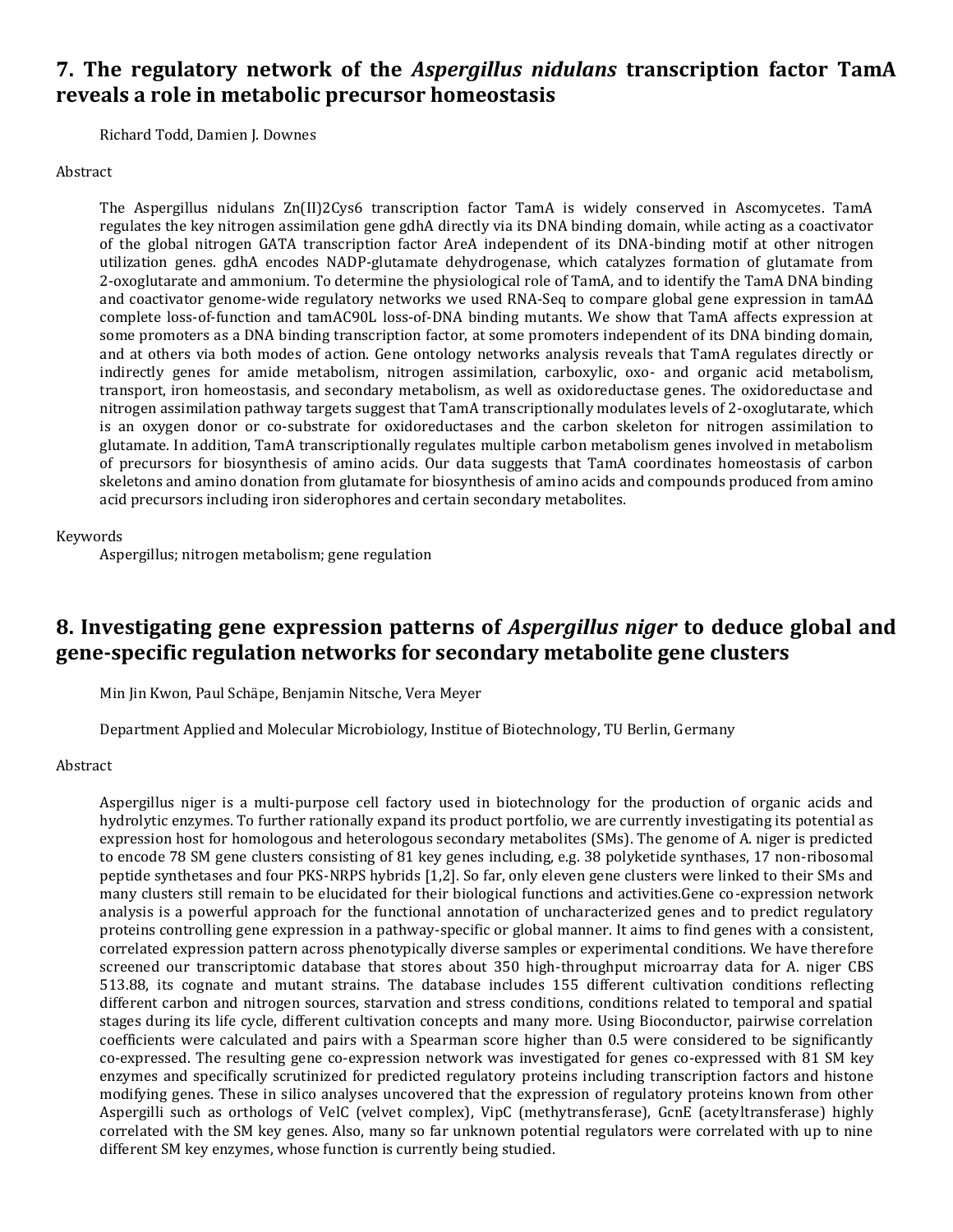### **7. The regulatory network of the** *Aspergillus nidulans* **transcription factor TamA reveals a role in metabolic precursor homeostasis**

Richard Todd, Damien J. Downes

#### Abstract

The Aspergillus nidulans Zn(II)2Cys6 transcription factor TamA is widely conserved in Ascomycetes. TamA regulates the key nitrogen assimilation gene gdhA directly via its DNA binding domain, while acting as a coactivator of the global nitrogen GATA transcription factor AreA independent of its DNA-binding motif at other nitrogen utilization genes. gdhA encodes NADP-glutamate dehydrogenase, which catalyzes formation of glutamate from 2-oxoglutarate and ammonium. To determine the physiological role of TamA, and to identify the TamA DNA binding and coactivator genome-wide regulatory networks we used RNA-Seq to compare global gene expression in tamA∆ complete loss-of-function and tamAC90L loss-of-DNA binding mutants. We show that TamA affects expression at some promoters as a DNA binding transcription factor, at some promoters independent of its DNA binding domain, and at others via both modes of action. Gene ontology networks analysis reveals that TamA regulates directly or indirectly genes for amide metabolism, nitrogen assimilation, carboxylic, oxo- and organic acid metabolism, transport, iron homeostasis, and secondary metabolism, as well as oxidoreductase genes. The oxidoreductase and nitrogen assimilation pathway targets suggest that TamA transcriptionally modulates levels of 2-oxoglutarate, which is an oxygen donor or co-substrate for oxidoreductases and the carbon skeleton for nitrogen assimilation to glutamate. In addition, TamA transcriptionally regulates multiple carbon metabolism genes involved in metabolism of precursors for biosynthesis of amino acids. Our data suggests that TamA coordinates homeostasis of carbon skeletons and amino donation from glutamate for biosynthesis of amino acids and compounds produced from amino acid precursors including iron siderophores and certain secondary metabolites.

### Keywords

Aspergillus; nitrogen metabolism; gene regulation

### **8. Investigating gene expression patterns of** *Aspergillus niger* **to deduce global and gene-specific regulation networks for secondary metabolite gene clusters**

Min Jin Kwon, Paul Schäpe, Benjamin Nitsche, Vera Meyer

Department Applied and Molecular Microbiology, Institue of Biotechnology, TU Berlin, Germany

### Abstract

Aspergillus niger is a multi-purpose cell factory used in biotechnology for the production of organic acids and hydrolytic enzymes. To further rationally expand its product portfolio, we are currently investigating its potential as expression host for homologous and heterologous secondary metabolites (SMs). The genome of A. niger is predicted to encode 78 SM gene clusters consisting of 81 key genes including, e.g. 38 polyketide synthases, 17 non-ribosomal peptide synthetases and four PKS-NRPS hybrids [1,2]. So far, only eleven gene clusters were linked to their SMs and many clusters still remain to be elucidated for their biological functions and activities.Gene co-expression network analysis is a powerful approach for the functional annotation of uncharacterized genes and to predict regulatory proteins controlling gene expression in a pathway-specific or global manner. It aims to find genes with a consistent, correlated expression pattern across phenotypically diverse samples or experimental conditions. We have therefore screened our transcriptomic database that stores about 350 high-throughput microarray data for A. niger CBS 513.88, its cognate and mutant strains. The database includes 155 different cultivation conditions reflecting different carbon and nitrogen sources, starvation and stress conditions, conditions related to temporal and spatial stages during its life cycle, different cultivation concepts and many more. Using Bioconductor, pairwise correlation coefficients were calculated and pairs with a Spearman score higher than 0.5 were considered to be significantly co-expressed. The resulting gene co-expression network was investigated for genes co-expressed with 81 SM key enzymes and specifically scrutinized for predicted regulatory proteins including transcription factors and histone modifying genes. These in silico analyses uncovered that the expression of regulatory proteins known from other Aspergilli such as orthologs of VelC (velvet complex), VipC (methytransferase), GcnE (acetyltransferase) highly correlated with the SM key genes. Also, many so far unknown potential regulators were correlated with up to nine different SM key enzymes, whose function is currently being studied.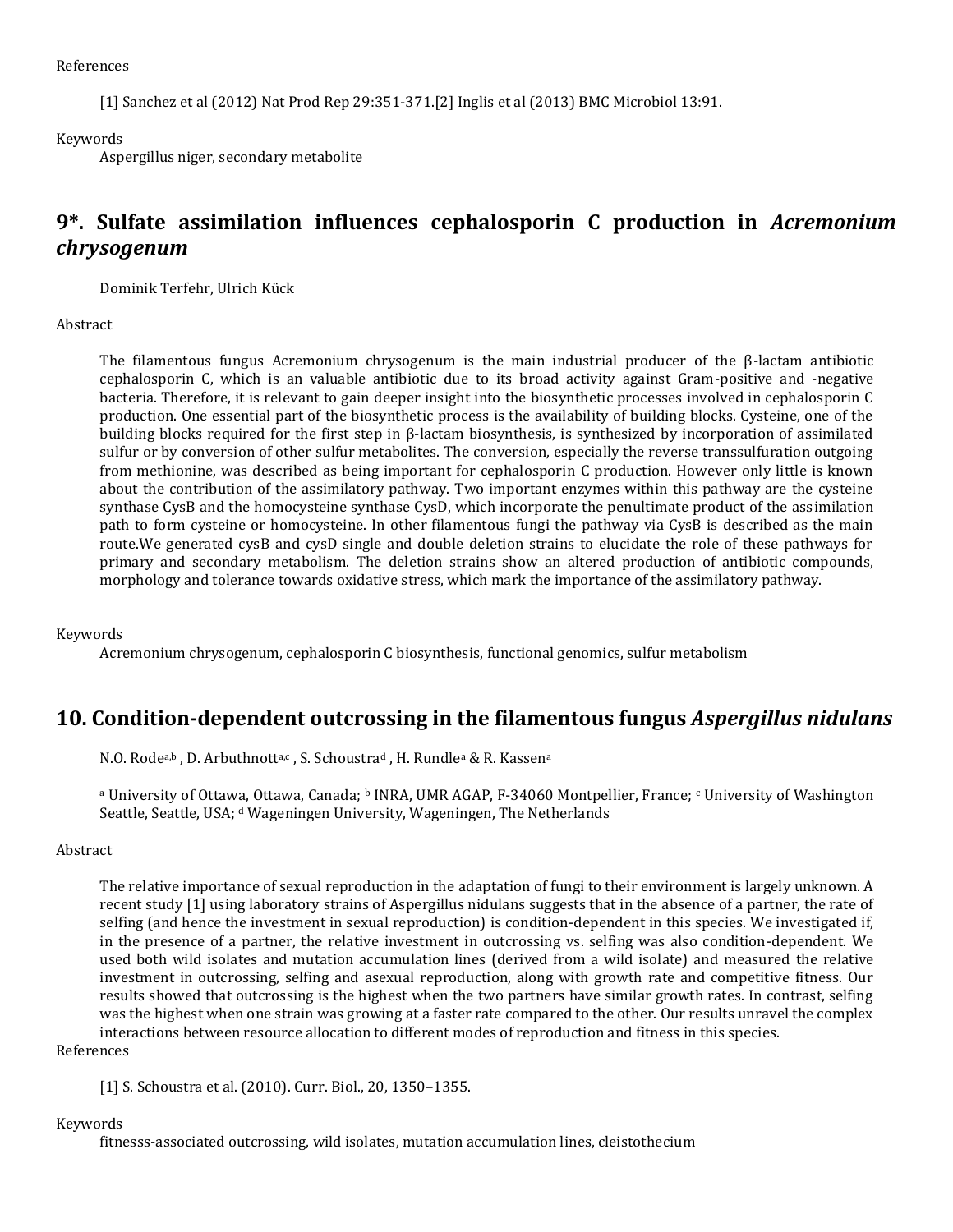#### References

[1] Sanchez et al (2012) Nat Prod Rep 29:351-371.[2] Inglis et al (2013) BMC Microbiol 13:91.

#### Keywords

Aspergillus niger, secondary metabolite

### **9\*. Sulfate assimilation influences cephalosporin C production in** *Acremonium chrysogenum*

Dominik Terfehr, Ulrich Kück

### Abstract

The filamentous fungus Acremonium chrysogenum is the main industrial producer of the β-lactam antibiotic cephalosporin C, which is an valuable antibiotic due to its broad activity against Gram-positive and -negative bacteria. Therefore, it is relevant to gain deeper insight into the biosynthetic processes involved in cephalosporin C production. One essential part of the biosynthetic process is the availability of building blocks. Cysteine, one of the building blocks required for the first step in β-lactam biosynthesis, is synthesized by incorporation of assimilated sulfur or by conversion of other sulfur metabolites. The conversion, especially the reverse transsulfuration outgoing from methionine, was described as being important for cephalosporin C production. However only little is known about the contribution of the assimilatory pathway. Two important enzymes within this pathway are the cysteine synthase CysB and the homocysteine synthase CysD, which incorporate the penultimate product of the assimilation path to form cysteine or homocysteine. In other filamentous fungi the pathway via CysB is described as the main route.We generated cysB and cysD single and double deletion strains to elucidate the role of these pathways for primary and secondary metabolism. The deletion strains show an altered production of antibiotic compounds, morphology and tolerance towards oxidative stress, which mark the importance of the assimilatory pathway.

### Keywords

Acremonium chrysogenum, cephalosporin C biosynthesis, functional genomics, sulfur metabolism

### **10. Condition-dependent outcrossing in the filamentous fungus** *Aspergillus nidulans*

N.O. Rodea,b, D. Arbuthnotta,c, S. Schoustrad, H. Rundlea & R. Kassena

<sup>a</sup> University of Ottawa, Ottawa, Canada; <sup>b</sup> INRA, UMR AGAP, F-34060 Montpellier, France; c University of Washington Seattle, Seattle, USA; d Wageningen University, Wageningen, The Netherlands

#### Abstract

The relative importance of sexual reproduction in the adaptation of fungi to their environment is largely unknown. A recent study [1] using laboratory strains of Aspergillus nidulans suggests that in the absence of a partner, the rate of selfing (and hence the investment in sexual reproduction) is condition-dependent in this species. We investigated if, in the presence of a partner, the relative investment in outcrossing vs. selfing was also condition-dependent. We used both wild isolates and mutation accumulation lines (derived from a wild isolate) and measured the relative investment in outcrossing, selfing and asexual reproduction, along with growth rate and competitive fitness. Our results showed that outcrossing is the highest when the two partners have similar growth rates. In contrast, selfing was the highest when one strain was growing at a faster rate compared to the other. Our results unravel the complex interactions between resource allocation to different modes of reproduction and fitness in this species.

#### References

[1] S. Schoustra et al. (2010). Curr. Biol., 20, 1350–1355.

### Keywords

fitnesss-associated outcrossing, wild isolates, mutation accumulation lines, cleistothecium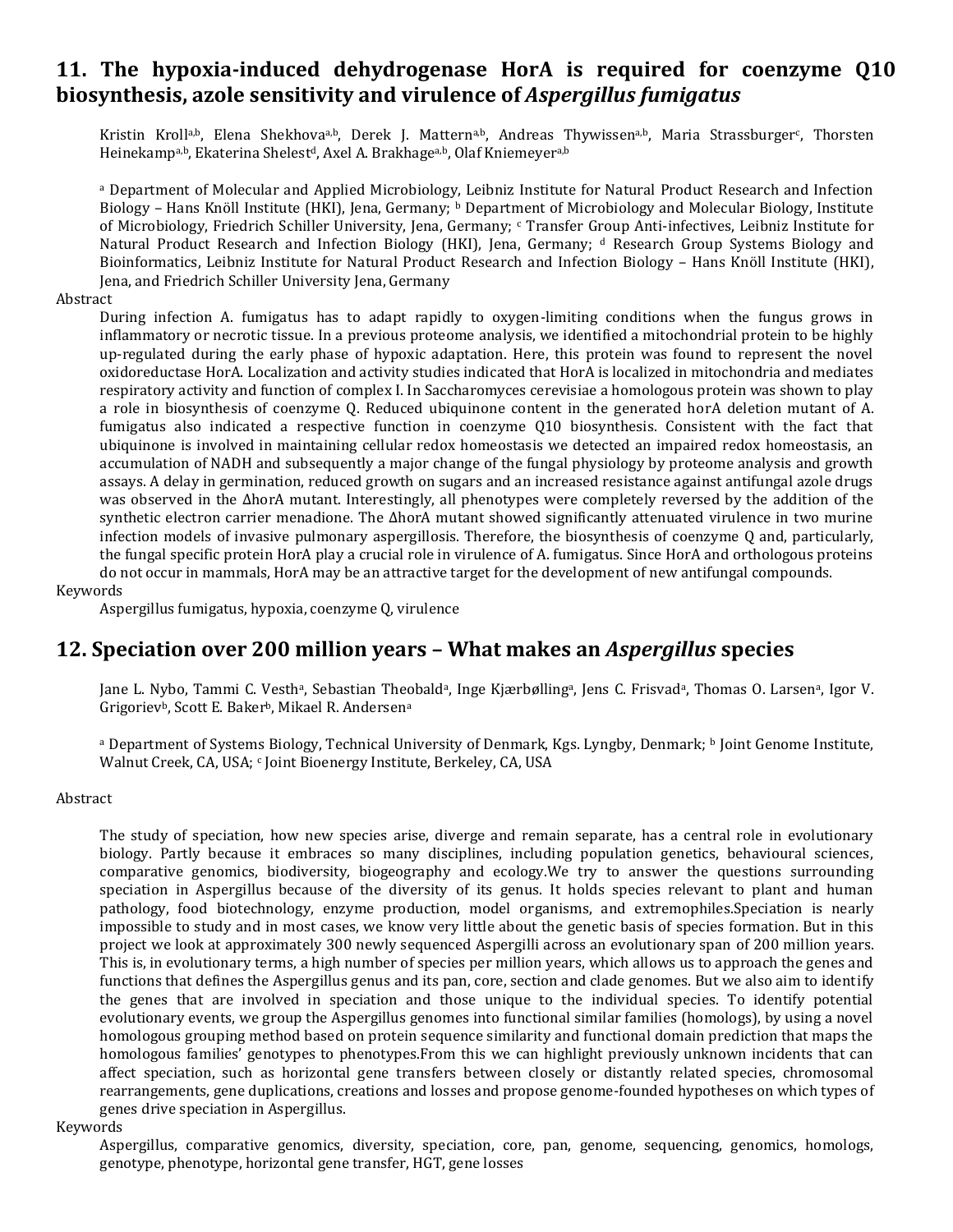### **11. The hypoxia-induced dehydrogenase HorA is required for coenzyme Q10 biosynthesis, azole sensitivity and virulence of** *Aspergillus fumigatus*

Kristin Kroll<sup>a,b</sup>, Elena Shekhova<sup>a,b</sup>, Derek J. Mattern<sup>a,b</sup>, Andreas Thywissen<sup>a,b</sup>, Maria Strassburger<sup>c</sup>, Thorsten Heinekampa,b, Ekaterina Shelest<sup>d</sup>, Axel A. Brakhagea,b, Olaf Kniemeyera,b

<sup>a</sup> Department of Molecular and Applied Microbiology, Leibniz Institute for Natural Product Research and Infection Biology – Hans Knöll Institute (HKI), Jena, Germany; **b** Department of Microbiology and Molecular Biology, Institute of Microbiology, Friedrich Schiller University, Jena, Germany; <sup>c</sup> Transfer Group Anti-infectives, Leibniz Institute for Natural Product Research and Infection Biology (HKI), Jena, Germany; <sup>d</sup> Research Group Systems Biology and Bioinformatics, Leibniz Institute for Natural Product Research and Infection Biology – Hans Knöll Institute (HKI), Jena, and Friedrich Schiller University Jena, Germany

#### Abstract

During infection A. fumigatus has to adapt rapidly to oxygen-limiting conditions when the fungus grows in inflammatory or necrotic tissue. In a previous proteome analysis, we identified a mitochondrial protein to be highly up-regulated during the early phase of hypoxic adaptation. Here, this protein was found to represent the novel oxidoreductase HorA. Localization and activity studies indicated that HorA is localized in mitochondria and mediates respiratory activity and function of complex I. In Saccharomyces cerevisiae a homologous protein was shown to play a role in biosynthesis of coenzyme Q. Reduced ubiquinone content in the generated horA deletion mutant of A. fumigatus also indicated a respective function in coenzyme Q10 biosynthesis. Consistent with the fact that ubiquinone is involved in maintaining cellular redox homeostasis we detected an impaired redox homeostasis, an accumulation of NADH and subsequently a major change of the fungal physiology by proteome analysis and growth assays. A delay in germination, reduced growth on sugars and an increased resistance against antifungal azole drugs was observed in the ΔhorA mutant. Interestingly, all phenotypes were completely reversed by the addition of the synthetic electron carrier menadione. The ΔhorA mutant showed significantly attenuated virulence in two murine infection models of invasive pulmonary aspergillosis. Therefore, the biosynthesis of coenzyme Q and, particularly, the fungal specific protein HorA play a crucial role in virulence of A. fumigatus. Since HorA and orthologous proteins do not occur in mammals, HorA may be an attractive target for the development of new antifungal compounds.

#### Keywords

Aspergillus fumigatus, hypoxia, coenzyme Q, virulence

### **12. Speciation over 200 million years – What makes an** *Aspergillus* **species**

Jane L. Nybo, Tammi C. Vesth<sup>a</sup>, Sebastian Theobald<sup>a</sup>, Inge Kjærbølling<sup>a</sup>, Jens C. Frisvad<sup>a</sup>, Thomas O. Larsen<sup>a</sup>, Igor V. Grigoriev<sup>b</sup>, Scott E. Baker<sup>b</sup>, Mikael R. Andersen<sup>a</sup>

a Department of Systems Biology, Technical University of Denmark, Kgs. Lyngby, Denmark; <sup>b</sup> Joint Genome Institute, Walnut Creek, CA, USA; c Joint Bioenergy Institute, Berkeley, CA, USA

#### Abstract

The study of speciation, how new species arise, diverge and remain separate, has a central role in evolutionary biology. Partly because it embraces so many disciplines, including population genetics, behavioural sciences, comparative genomics, biodiversity, biogeography and ecology.We try to answer the questions surrounding speciation in Aspergillus because of the diversity of its genus. It holds species relevant to plant and human pathology, food biotechnology, enzyme production, model organisms, and extremophiles.Speciation is nearly impossible to study and in most cases, we know very little about the genetic basis of species formation. But in this project we look at approximately 300 newly sequenced Aspergilli across an evolutionary span of 200 million years. This is, in evolutionary terms, a high number of species per million years, which allows us to approach the genes and functions that defines the Aspergillus genus and its pan, core, section and clade genomes. But we also aim to identify the genes that are involved in speciation and those unique to the individual species. To identify potential evolutionary events, we group the Aspergillus genomes into functional similar families (homologs), by using a novel homologous grouping method based on protein sequence similarity and functional domain prediction that maps the homologous families' genotypes to phenotypes.From this we can highlight previously unknown incidents that can affect speciation, such as horizontal gene transfers between closely or distantly related species, chromosomal rearrangements, gene duplications, creations and losses and propose genome-founded hypotheses on which types of genes drive speciation in Aspergillus.

### Keywords

Aspergillus, comparative genomics, diversity, speciation, core, pan, genome, sequencing, genomics, homologs, genotype, phenotype, horizontal gene transfer, HGT, gene losses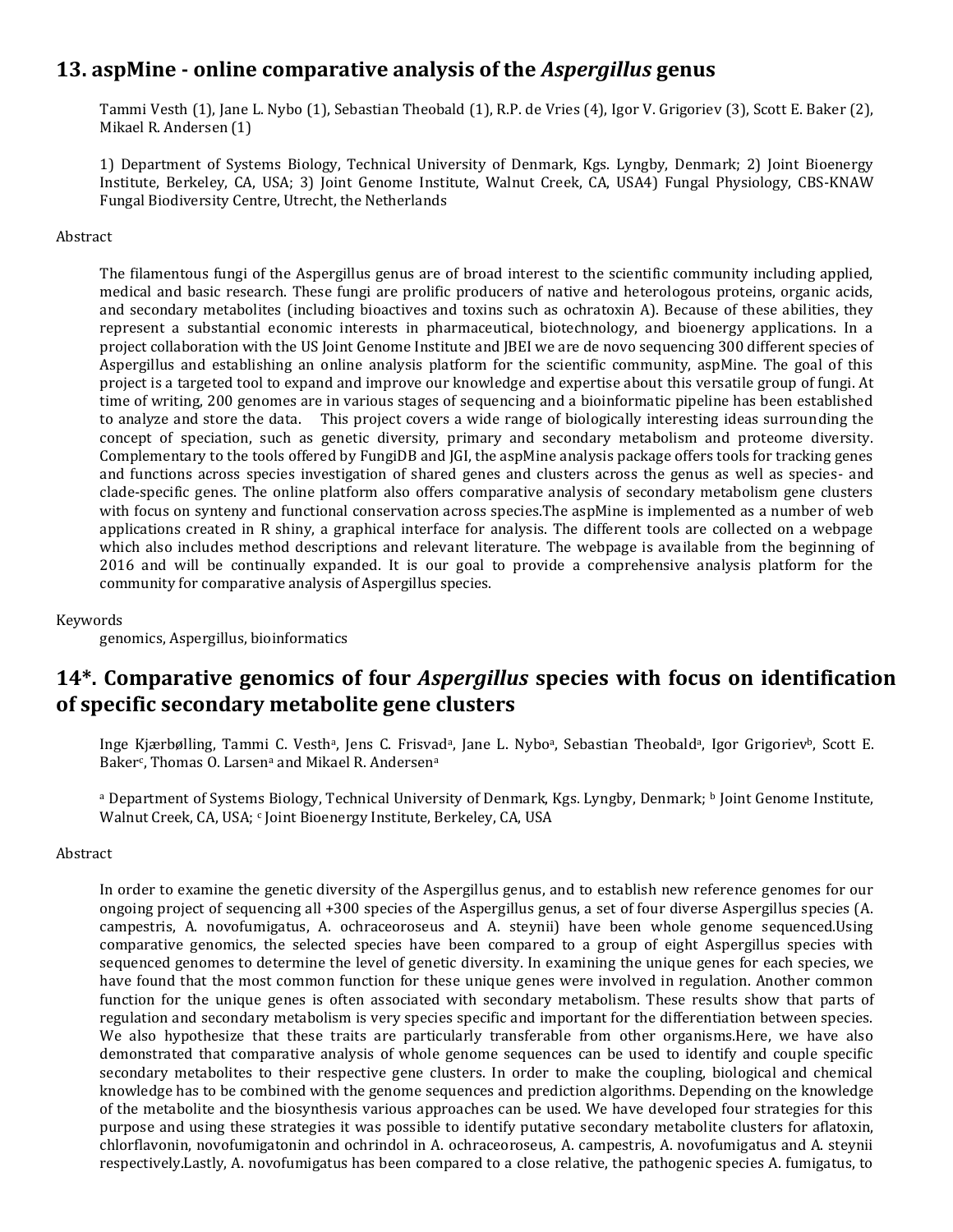### **13. aspMine - online comparative analysis of the** *Aspergillus* **genus**

Tammi Vesth (1), Jane L. Nybo (1), Sebastian Theobald (1), R.P. de Vries (4), Igor V. Grigoriev (3), Scott E. Baker (2), Mikael R. Andersen (1)

1) Department of Systems Biology, Technical University of Denmark, Kgs. Lyngby, Denmark; 2) Joint Bioenergy Institute, Berkeley, CA, USA; 3) Joint Genome Institute, Walnut Creek, CA, USA4) Fungal Physiology, CBS-KNAW Fungal Biodiversity Centre, Utrecht, the Netherlands

#### Abstract

The filamentous fungi of the Aspergillus genus are of broad interest to the scientific community including applied, medical and basic research. These fungi are prolific producers of native and heterologous proteins, organic acids, and secondary metabolites (including bioactives and toxins such as ochratoxin A). Because of these abilities, they represent a substantial economic interests in pharmaceutical, biotechnology, and bioenergy applications. In a project collaboration with the US Joint Genome Institute and JBEI we are de novo sequencing 300 different species of Aspergillus and establishing an online analysis platform for the scientific community, aspMine. The goal of this project is a targeted tool to expand and improve our knowledge and expertise about this versatile group of fungi. At time of writing, 200 genomes are in various stages of sequencing and a bioinformatic pipeline has been established to analyze and store the data. This project covers a wide range of biologically interesting ideas surrounding the concept of speciation, such as genetic diversity, primary and secondary metabolism and proteome diversity. Complementary to the tools offered by FungiDB and JGI, the aspMine analysis package offers tools for tracking genes and functions across species investigation of shared genes and clusters across the genus as well as species- and clade-specific genes. The online platform also offers comparative analysis of secondary metabolism gene clusters with focus on synteny and functional conservation across species.The aspMine is implemented as a number of web applications created in R shiny, a graphical interface for analysis. The different tools are collected on a webpage which also includes method descriptions and relevant literature. The webpage is available from the beginning of 2016 and will be continually expanded. It is our goal to provide a comprehensive analysis platform for the community for comparative analysis of Aspergillus species.

### Keywords

genomics, Aspergillus, bioinformatics

### **14\*. Comparative genomics of four** *Aspergillus* **species with focus on identification of specific secondary metabolite gene clusters**

Inge Kjærbølling, Tammi C. Vesth<sup>a</sup>, Jens C. Frisvad<sup>a</sup>, Jane L. Nybo<sup>a</sup>, Sebastian Theobald<sup>a</sup>, Igor Grigoriev<sup>b</sup>, Scott E. Baker<sup>c</sup>, Thomas O. Larsen<sup>a</sup> and Mikael R. Andersen<sup>a</sup>

<sup>a</sup> Department of Systems Biology, Technical University of Denmark, Kgs. Lyngby, Denmark; <sup>b</sup> Joint Genome Institute, Walnut Creek, CA, USA; cJoint Bioenergy Institute, Berkeley, CA, USA

### Abstract

In order to examine the genetic diversity of the Aspergillus genus, and to establish new reference genomes for our ongoing project of sequencing all +300 species of the Aspergillus genus, a set of four diverse Aspergillus species (A. campestris, A. novofumigatus, A. ochraceoroseus and A. steynii) have been whole genome sequenced.Using comparative genomics, the selected species have been compared to a group of eight Aspergillus species with sequenced genomes to determine the level of genetic diversity. In examining the unique genes for each species, we have found that the most common function for these unique genes were involved in regulation. Another common function for the unique genes is often associated with secondary metabolism. These results show that parts of regulation and secondary metabolism is very species specific and important for the differentiation between species. We also hypothesize that these traits are particularly transferable from other organisms.Here, we have also demonstrated that comparative analysis of whole genome sequences can be used to identify and couple specific secondary metabolites to their respective gene clusters. In order to make the coupling, biological and chemical knowledge has to be combined with the genome sequences and prediction algorithms. Depending on the knowledge of the metabolite and the biosynthesis various approaches can be used. We have developed four strategies for this purpose and using these strategies it was possible to identify putative secondary metabolite clusters for aflatoxin, chlorflavonin, novofumigatonin and ochrindol in A. ochraceoroseus, A. campestris, A. novofumigatus and A. steynii respectively.Lastly, A. novofumigatus has been compared to a close relative, the pathogenic species A. fumigatus, to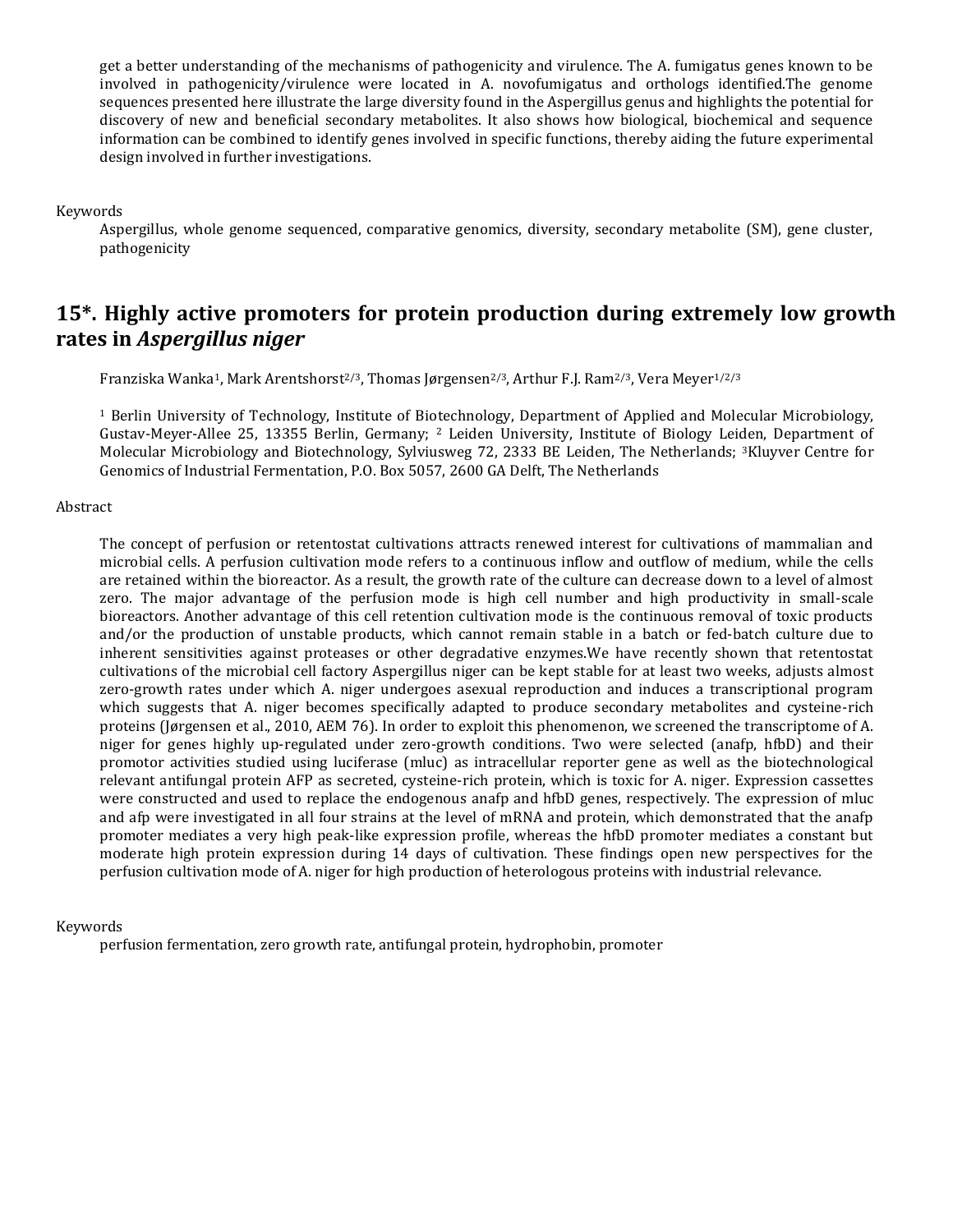get a better understanding of the mechanisms of pathogenicity and virulence. The A. fumigatus genes known to be involved in pathogenicity/virulence were located in A. novofumigatus and orthologs identified.The genome sequences presented here illustrate the large diversity found in the Aspergillus genus and highlights the potential for discovery of new and beneficial secondary metabolites. It also shows how biological, biochemical and sequence information can be combined to identify genes involved in specific functions, thereby aiding the future experimental design involved in further investigations.

Keywords

Aspergillus, whole genome sequenced, comparative genomics, diversity, secondary metabolite (SM), gene cluster, pathogenicity

### **15\*. Highly active promoters for protein production during extremely low growth rates in** *Aspergillus niger*

Franziska Wanka<sup>1</sup>, Mark Arentshorst<sup>2/3</sup>, Thomas Jørgensen<sup>2/3</sup>, Arthur F.J. Ram<sup>2/3</sup>, Vera Meyer<sup>1/2/3</sup>

<sup>1</sup> Berlin University of Technology, Institute of Biotechnology, Department of Applied and Molecular Microbiology, Gustav-Meyer-Allee 25, 13355 Berlin, Germany; <sup>2</sup> Leiden University, Institute of Biology Leiden, Department of Molecular Microbiology and Biotechnology, Sylviusweg 72, 2333 BE Leiden, The Netherlands; 3Kluyver Centre for Genomics of Industrial Fermentation, P.O. Box 5057, 2600 GA Delft, The Netherlands

#### Abstract

The concept of perfusion or retentostat cultivations attracts renewed interest for cultivations of mammalian and microbial cells. A perfusion cultivation mode refers to a continuous inflow and outflow of medium, while the cells are retained within the bioreactor. As a result, the growth rate of the culture can decrease down to a level of almost zero. The major advantage of the perfusion mode is high cell number and high productivity in small-scale bioreactors. Another advantage of this cell retention cultivation mode is the continuous removal of toxic products and/or the production of unstable products, which cannot remain stable in a batch or fed-batch culture due to inherent sensitivities against proteases or other degradative enzymes.We have recently shown that retentostat cultivations of the microbial cell factory Aspergillus niger can be kept stable for at least two weeks, adjusts almost zero-growth rates under which A. niger undergoes asexual reproduction and induces a transcriptional program which suggests that A. niger becomes specifically adapted to produce secondary metabolites and cysteine-rich proteins (Jørgensen et al., 2010, AEM 76). In order to exploit this phenomenon, we screened the transcriptome of A. niger for genes highly up-regulated under zero-growth conditions. Two were selected (anafp, hfbD) and their promotor activities studied using luciferase (mluc) as intracellular reporter gene as well as the biotechnological relevant antifungal protein AFP as secreted, cysteine-rich protein, which is toxic for A. niger. Expression cassettes were constructed and used to replace the endogenous anafp and hfbD genes, respectively. The expression of mluc and afp were investigated in all four strains at the level of mRNA and protein, which demonstrated that the anafp promoter mediates a very high peak-like expression profile, whereas the hfbD promoter mediates a constant but moderate high protein expression during 14 days of cultivation. These findings open new perspectives for the perfusion cultivation mode of A. niger for high production of heterologous proteins with industrial relevance.

### Keywords

perfusion fermentation, zero growth rate, antifungal protein, hydrophobin, promoter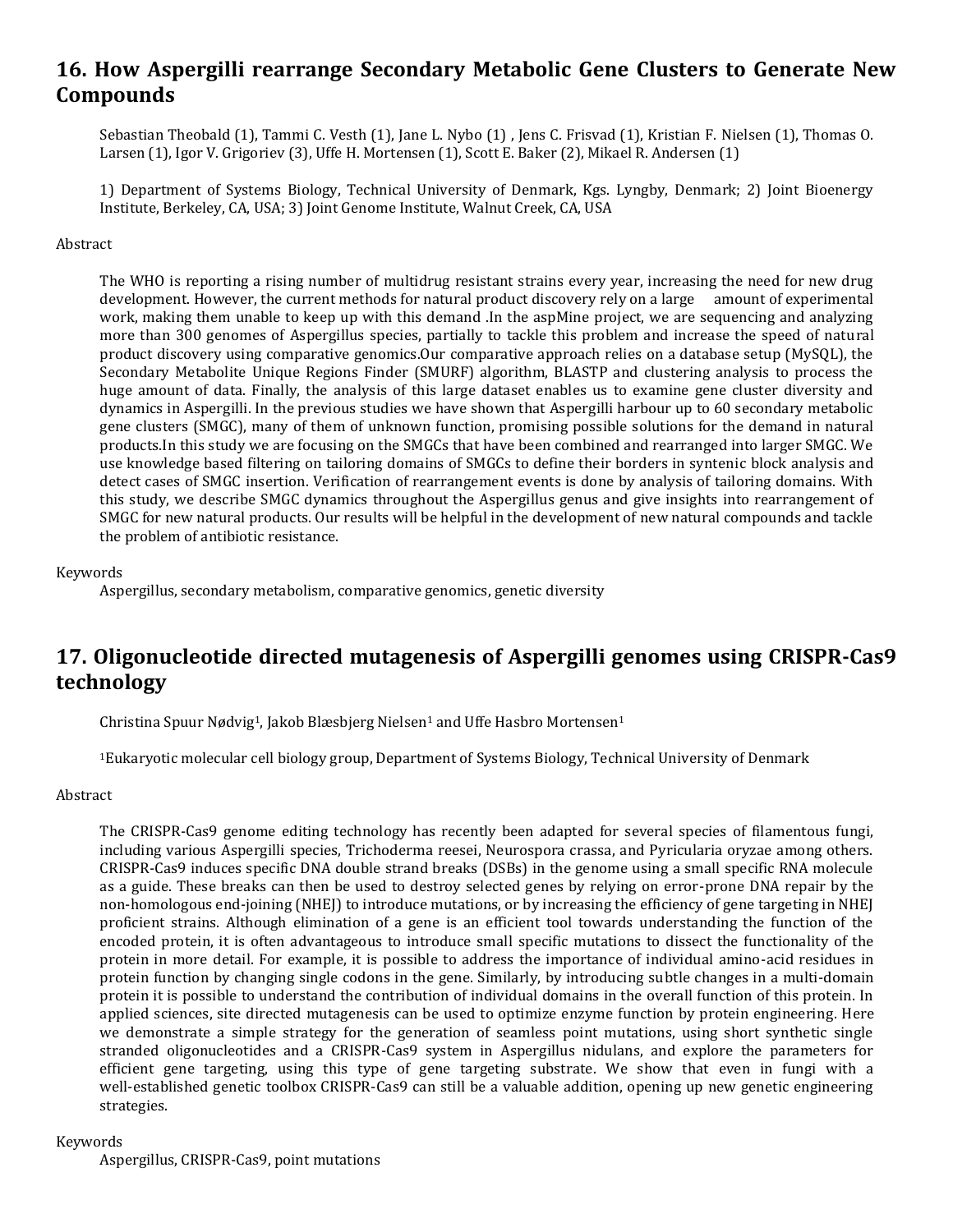### **16. How Aspergilli rearrange Secondary Metabolic Gene Clusters to Generate New Compounds**

Sebastian Theobald (1), Tammi C. Vesth (1), Jane L. Nybo (1) , Jens C. Frisvad (1), Kristian F. Nielsen (1), Thomas O. Larsen (1), Igor V. Grigoriev (3), Uffe H. Mortensen (1), Scott E. Baker (2), Mikael R. Andersen (1)

1) Department of Systems Biology, Technical University of Denmark, Kgs. Lyngby, Denmark; 2) Joint Bioenergy Institute, Berkeley, CA, USA; 3) Joint Genome Institute, Walnut Creek, CA, USA

#### Abstract

The WHO is reporting a rising number of multidrug resistant strains every year, increasing the need for new drug development. However, the current methods for natural product discovery rely on a large amount of experimental work, making them unable to keep up with this demand .In the aspMine project, we are sequencing and analyzing more than 300 genomes of Aspergillus species, partially to tackle this problem and increase the speed of natural product discovery using comparative genomics.Our comparative approach relies on a database setup (MySQL), the Secondary Metabolite Unique Regions Finder (SMURF) algorithm, BLASTP and clustering analysis to process the huge amount of data. Finally, the analysis of this large dataset enables us to examine gene cluster diversity and dynamics in Aspergilli. In the previous studies we have shown that Aspergilli harbour up to 60 secondary metabolic gene clusters (SMGC), many of them of unknown function, promising possible solutions for the demand in natural products.In this study we are focusing on the SMGCs that have been combined and rearranged into larger SMGC. We use knowledge based filtering on tailoring domains of SMGCs to define their borders in syntenic block analysis and detect cases of SMGC insertion. Verification of rearrangement events is done by analysis of tailoring domains. With this study, we describe SMGC dynamics throughout the Aspergillus genus and give insights into rearrangement of SMGC for new natural products. Our results will be helpful in the development of new natural compounds and tackle the problem of antibiotic resistance.

#### Keywords

Aspergillus, secondary metabolism, comparative genomics, genetic diversity

### **17. Oligonucleotide directed mutagenesis of Aspergilli genomes using CRISPR-Cas9 technology**

Christina Spuur Nødvig<sup>1</sup>, Jakob Blæsbierg Nielsen<sup>1</sup> and Uffe Hasbro Mortensen<sup>1</sup>

<sup>1</sup>Eukaryotic molecular cell biology group, Department of Systems Biology, Technical University of Denmark

### Abstract

The CRISPR-Cas9 genome editing technology has recently been adapted for several species of filamentous fungi, including various Aspergilli species, Trichoderma reesei, Neurospora crassa, and Pyricularia oryzae among others. CRISPR-Cas9 induces specific DNA double strand breaks (DSBs) in the genome using a small specific RNA molecule as a guide. These breaks can then be used to destroy selected genes by relying on error-prone DNA repair by the non-homologous end-joining (NHEJ) to introduce mutations, or by increasing the efficiency of gene targeting in NHEJ proficient strains. Although elimination of a gene is an efficient tool towards understanding the function of the encoded protein, it is often advantageous to introduce small specific mutations to dissect the functionality of the protein in more detail. For example, it is possible to address the importance of individual amino-acid residues in protein function by changing single codons in the gene. Similarly, by introducing subtle changes in a multi-domain protein it is possible to understand the contribution of individual domains in the overall function of this protein. In applied sciences, site directed mutagenesis can be used to optimize enzyme function by protein engineering. Here we demonstrate a simple strategy for the generation of seamless point mutations, using short synthetic single stranded oligonucleotides and a CRISPR-Cas9 system in Aspergillus nidulans, and explore the parameters for efficient gene targeting, using this type of gene targeting substrate. We show that even in fungi with a well-established genetic toolbox CRISPR-Cas9 can still be a valuable addition, opening up new genetic engineering strategies.

### Keywords

Aspergillus, CRISPR-Cas9, point mutations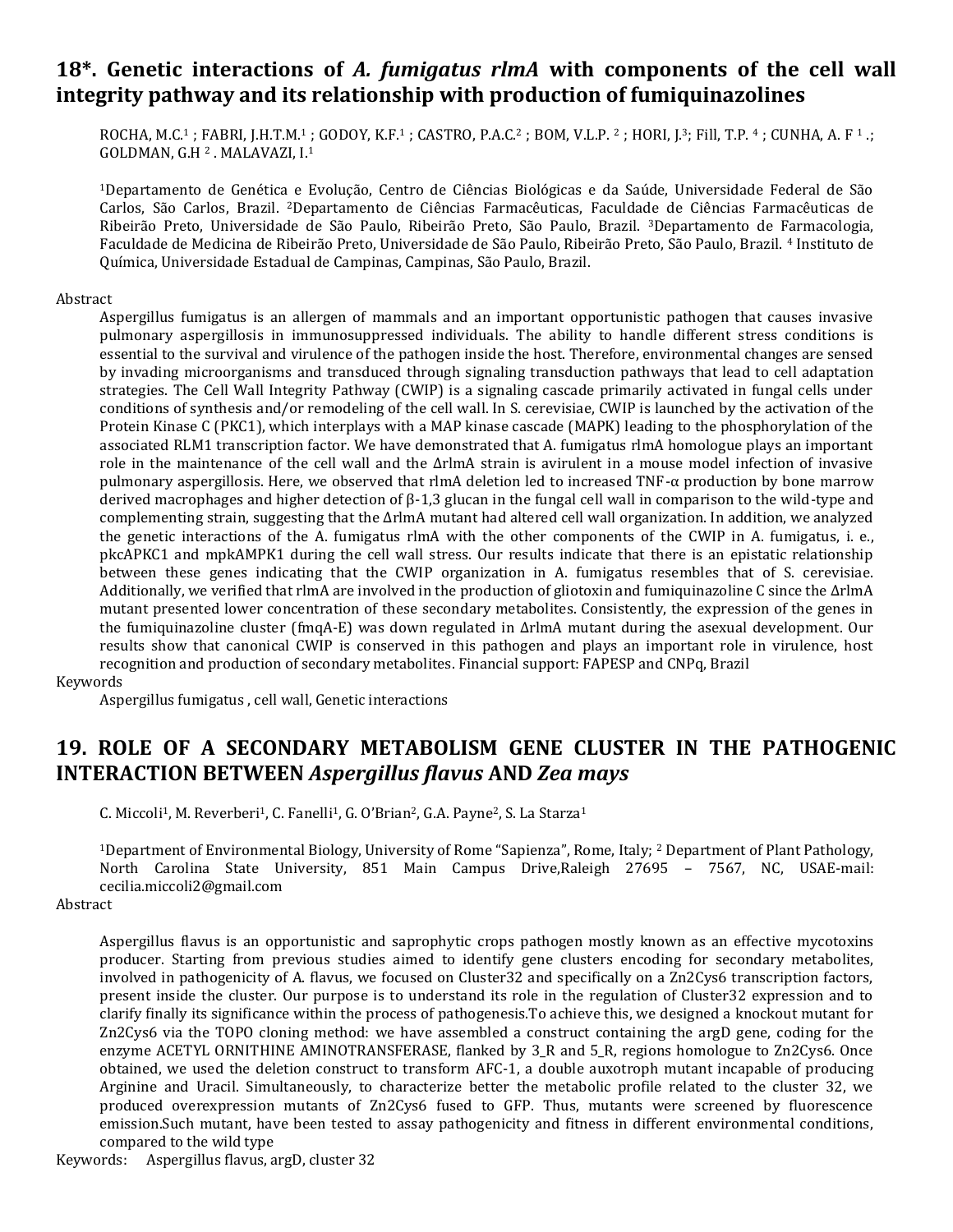### **18\*. Genetic interactions of** *A. fumigatus rlmA* **with components of the cell wall integrity pathway and its relationship with production of fumiquinazolines**

ROCHA, M.C.<sup>1</sup> ; FABRI, J.H.T.M.<sup>1</sup> ; GODOY, K.F.<sup>1</sup> ; CASTRO, P.A.C.<sup>2</sup> ; BOM, V.L.P. <sup>2</sup> ; HORI, J.3; Fill, T.P. <sup>4</sup> ; CUNHA, A. F <sup>1</sup> .; GOLDMAN, G.H <sup>2</sup> . MALAVAZI, I.<sup>1</sup>

<sup>1</sup>Departamento de Genética e Evolução, Centro de Ciências Biológicas e da Saúde, Universidade Federal de São Carlos, São Carlos, Brazil. 2Departamento de Ciências Farmacêuticas, Faculdade de Ciências Farmacêuticas de Ribeirão Preto, Universidade de São Paulo, Ribeirão Preto, São Paulo, Brazil. 3Departamento de Farmacologia, Faculdade de Medicina de Ribeirão Preto, Universidade de São Paulo, Ribeirão Preto, São Paulo, Brazil. <sup>4</sup> Instituto de Química, Universidade Estadual de Campinas, Campinas, São Paulo, Brazil.

### Abstract

Aspergillus fumigatus is an allergen of mammals and an important opportunistic pathogen that causes invasive pulmonary aspergillosis in immunosuppressed individuals. The ability to handle different stress conditions is essential to the survival and virulence of the pathogen inside the host. Therefore, environmental changes are sensed by invading microorganisms and transduced through signaling transduction pathways that lead to cell adaptation strategies. The Cell Wall Integrity Pathway (CWIP) is a signaling cascade primarily activated in fungal cells under conditions of synthesis and/or remodeling of the cell wall. In S. cerevisiae, CWIP is launched by the activation of the Protein Kinase C (PKC1), which interplays with a MAP kinase cascade (MAPK) leading to the phosphorylation of the associated RLM1 transcription factor. We have demonstrated that A. fumigatus rlmA homologue plays an important role in the maintenance of the cell wall and the ΔrlmA strain is avirulent in a mouse model infection of invasive pulmonary aspergillosis. Here, we observed that rlmA deletion led to increased TNF-α production by bone marrow derived macrophages and higher detection of β-1,3 glucan in the fungal cell wall in comparison to the wild-type and complementing strain, suggesting that the ΔrlmA mutant had altered cell wall organization. In addition, we analyzed the genetic interactions of the A. fumigatus rlmA with the other components of the CWIP in A. fumigatus, i. e., pkcAPKC1 and mpkAMPK1 during the cell wall stress. Our results indicate that there is an epistatic relationship between these genes indicating that the CWIP organization in A. fumigatus resembles that of S. cerevisiae. Additionally, we verified that rlmA are involved in the production of gliotoxin and fumiquinazoline C since the ΔrlmA mutant presented lower concentration of these secondary metabolites. Consistently, the expression of the genes in the fumiquinazoline cluster (fmqA-E) was down regulated in ΔrlmA mutant during the asexual development. Our results show that canonical CWIP is conserved in this pathogen and plays an important role in virulence, host recognition and production of secondary metabolites. Financial support: FAPESP and CNPq, Brazil

### Keywords

Aspergillus fumigatus , cell wall, Genetic interactions

### **19. ROLE OF A SECONDARY METABOLISM GENE CLUSTER IN THE PATHOGENIC INTERACTION BETWEEN** *Aspergillus flavus* **AND** *Zea mays*

C. Miccoli<sup>1</sup>, M. Reverberi<sup>1</sup>, C. Fanelli<sup>1</sup>, G. O'Brian<sup>2</sup>, G.A. Payne<sup>2</sup>, S. La Starza<sup>1</sup>

<sup>1</sup>Department of Environmental Biology, University of Rome "Sapienza", Rome, Italy; <sup>2</sup> Department of Plant Pathology, North Carolina State University, 851 Main Campus Drive,Raleigh 27695 – 7567, NC, USAE-mail: cecilia.miccoli2@gmail.com

#### Abstract

Aspergillus flavus is an opportunistic and saprophytic crops pathogen mostly known as an effective mycotoxins producer. Starting from previous studies aimed to identify gene clusters encoding for secondary metabolites, involved in pathogenicity of A. flavus, we focused on Cluster32 and specifically on a Zn2Cys6 transcription factors, present inside the cluster. Our purpose is to understand its role in the regulation of Cluster32 expression and to clarify finally its significance within the process of pathogenesis.To achieve this, we designed a knockout mutant for Zn2Cys6 via the TOPO cloning method: we have assembled a construct containing the argD gene, coding for the enzyme ACETYL ORNITHINE AMINOTRANSFERASE, flanked by 3\_R and 5\_R, regions homologue to Zn2Cys6. Once obtained, we used the deletion construct to transform AFC-1, a double auxotroph mutant incapable of producing Arginine and Uracil. Simultaneously, to characterize better the metabolic profile related to the cluster 32, we produced overexpression mutants of Zn2Cys6 fused to GFP. Thus, mutants were screened by fluorescence emission.Such mutant, have been tested to assay pathogenicity and fitness in different environmental conditions, compared to the wild type

Keywords: Aspergillus flavus, argD, cluster 32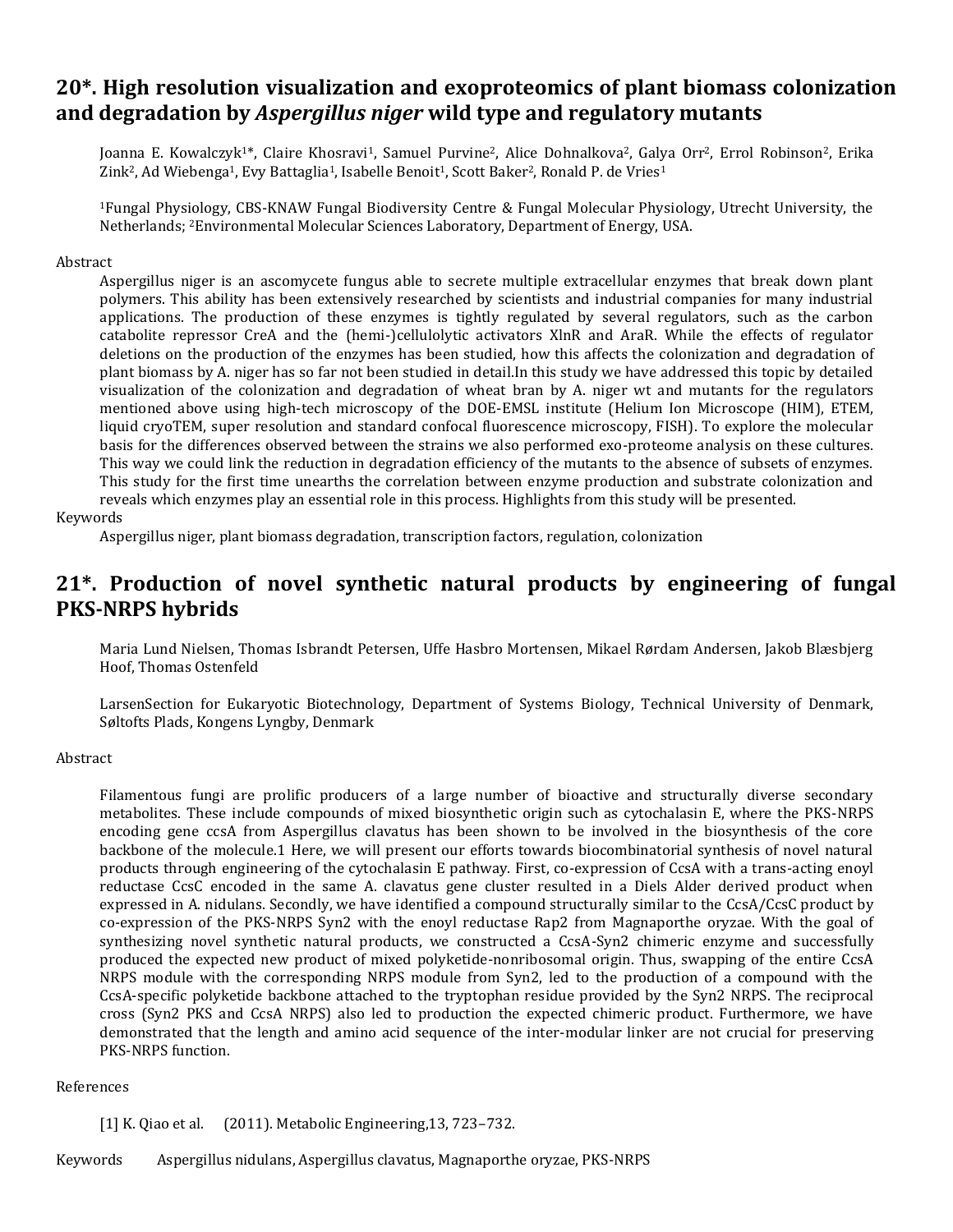### **20\*. High resolution visualization and exoproteomics of plant biomass colonization and degradation by** *Aspergillus niger* **wild type and regulatory mutants**

Joanna E. Kowalczyk<sup>1\*</sup>, Claire Khosravi<sup>1</sup>, Samuel Purvine<sup>2</sup>, Alice Dohnalkova<sup>2</sup>, Galya Orr<sup>2</sup>, Errol Robinson<sup>2</sup>, Erika Zink<sup>2</sup>, Ad Wiebenga<sup>1</sup>, Evy Battaglia<sup>1</sup>, Isabelle Benoit<sup>1</sup>, Scott Baker<sup>2</sup>, Ronald P. de Vries<sup>1</sup>

<sup>1</sup>Fungal Physiology, CBS-KNAW Fungal Biodiversity Centre & Fungal Molecular Physiology, Utrecht University, the Netherlands; 2Environmental Molecular Sciences Laboratory, Department of Energy, USA.

#### Abstract

Aspergillus niger is an ascomycete fungus able to secrete multiple extracellular enzymes that break down plant polymers. This ability has been extensively researched by scientists and industrial companies for many industrial applications. The production of these enzymes is tightly regulated by several regulators, such as the carbon catabolite repressor CreA and the (hemi-)cellulolytic activators XlnR and AraR. While the effects of regulator deletions on the production of the enzymes has been studied, how this affects the colonization and degradation of plant biomass by A. niger has so far not been studied in detail.In this study we have addressed this topic by detailed visualization of the colonization and degradation of wheat bran by A. niger wt and mutants for the regulators mentioned above using high-tech microscopy of the DOE-EMSL institute (Helium Ion Microscope (HIM), ETEM, liquid cryoTEM, super resolution and standard confocal fluorescence microscopy, FISH). To explore the molecular basis for the differences observed between the strains we also performed exo-proteome analysis on these cultures. This way we could link the reduction in degradation efficiency of the mutants to the absence of subsets of enzymes. This study for the first time unearths the correlation between enzyme production and substrate colonization and reveals which enzymes play an essential role in this process. Highlights from this study will be presented.

#### Keywords

Aspergillus niger, plant biomass degradation, transcription factors, regulation, colonization

### **21\*. Production of novel synthetic natural products by engineering of fungal PKS-NRPS hybrids**

Maria Lund Nielsen, Thomas Isbrandt Petersen, Uffe Hasbro Mortensen, Mikael Rørdam Andersen, Jakob Blæsbjerg Hoof, Thomas Ostenfeld

LarsenSection for Eukaryotic Biotechnology, Department of Systems Biology, Technical University of Denmark, Søltofts Plads, Kongens Lyngby, Denmark

#### Abstract

Filamentous fungi are prolific producers of a large number of bioactive and structurally diverse secondary metabolites. These include compounds of mixed biosynthetic origin such as cytochalasin E, where the PKS-NRPS encoding gene ccsA from Aspergillus clavatus has been shown to be involved in the biosynthesis of the core backbone of the molecule.1 Here, we will present our efforts towards biocombinatorial synthesis of novel natural products through engineering of the cytochalasin E pathway. First, co-expression of CcsA with a trans-acting enoyl reductase CcsC encoded in the same A. clavatus gene cluster resulted in a Diels Alder derived product when expressed in A. nidulans. Secondly, we have identified a compound structurally similar to the CcsA/CcsC product by co-expression of the PKS-NRPS Syn2 with the enoyl reductase Rap2 from Magnaporthe oryzae. With the goal of synthesizing novel synthetic natural products, we constructed a CcsA-Syn2 chimeric enzyme and successfully produced the expected new product of mixed polyketide-nonribosomal origin. Thus, swapping of the entire CcsA NRPS module with the corresponding NRPS module from Syn2, led to the production of a compound with the CcsA-specific polyketide backbone attached to the tryptophan residue provided by the Syn2 NRPS. The reciprocal cross (Syn2 PKS and CcsA NRPS) also led to production the expected chimeric product. Furthermore, we have demonstrated that the length and amino acid sequence of the inter-modular linker are not crucial for preserving PKS-NRPS function.

#### References

[1] K. Qiao et al. (2011). Metabolic Engineering,13, 723–732.

Keywords Aspergillus nidulans, Aspergillus clavatus, Magnaporthe oryzae, PKS-NRPS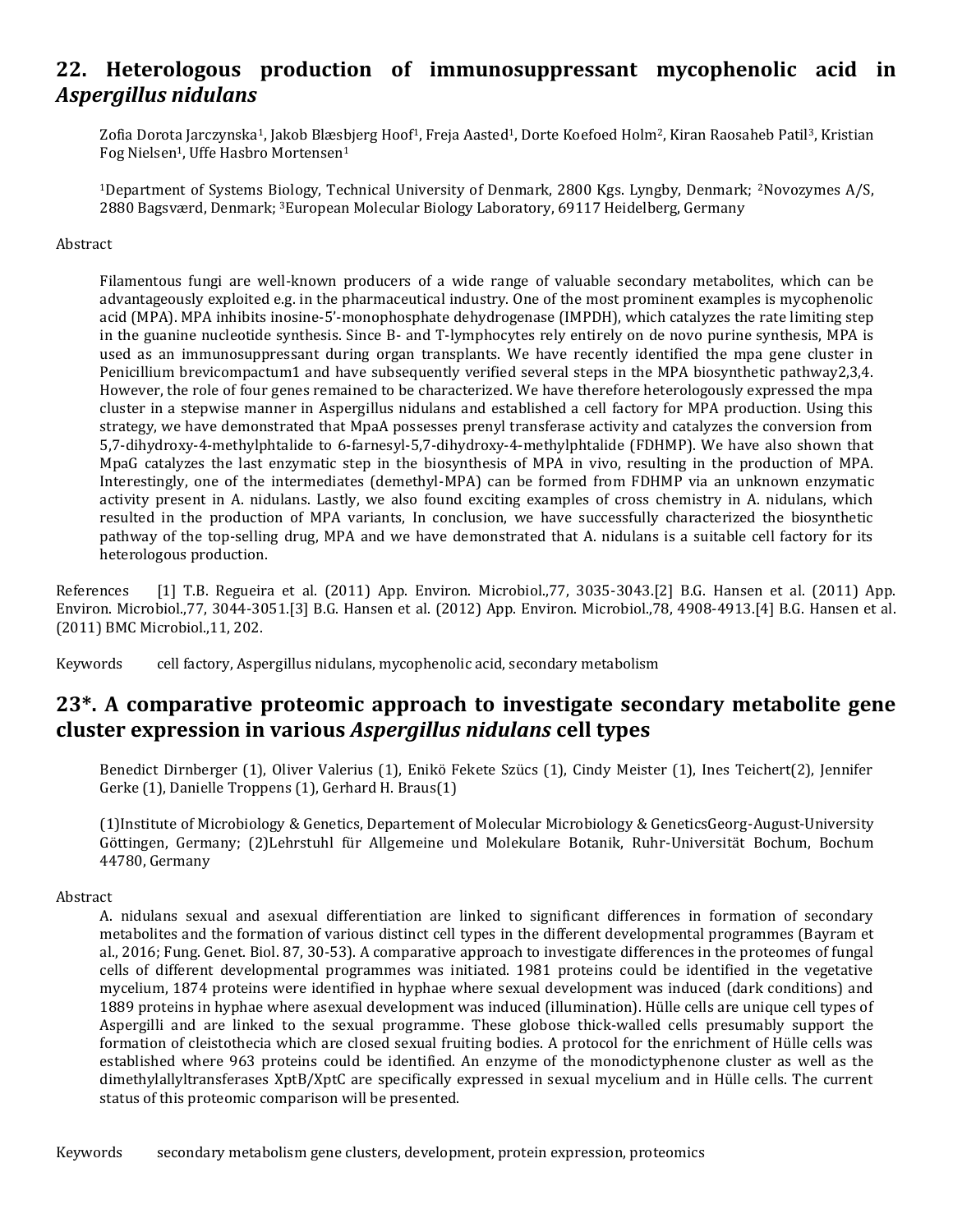### **22. Heterologous production of immunosuppressant mycophenolic acid in**  *Aspergillus nidulans*

Zofia Dorota Jarczynska<sup>1</sup>, Jakob Blæsbjerg Hoof<sup>1</sup>, Freja Aasted<sup>1</sup>, Dorte Koefoed Holm<sup>2</sup>, Kiran Raosaheb Patil<sup>3</sup>, Kristian Fog Nielsen<sup>1</sup>, Uffe Hasbro Mortensen<sup>1</sup>

<sup>1</sup>Department of Systems Biology, Technical University of Denmark, 2800 Kgs. Lyngby, Denmark; 2Novozymes A/S, 2880 Bagsværd, Denmark; 3European Molecular Biology Laboratory, 69117 Heidelberg, Germany

#### Abstract

Filamentous fungi are well-known producers of a wide range of valuable secondary metabolites, which can be advantageously exploited e.g. in the pharmaceutical industry. One of the most prominent examples is mycophenolic acid (MPA). MPA inhibits inosine-5'-monophosphate dehydrogenase (IMPDH), which catalyzes the rate limiting step in the guanine nucleotide synthesis. Since B- and T-lymphocytes rely entirely on de novo purine synthesis, MPA is used as an immunosuppressant during organ transplants. We have recently identified the mpa gene cluster in Penicillium brevicompactum1 and have subsequently verified several steps in the MPA biosynthetic pathway2,3,4. However, the role of four genes remained to be characterized. We have therefore heterologously expressed the mpa cluster in a stepwise manner in Aspergillus nidulans and established a cell factory for MPA production. Using this strategy, we have demonstrated that MpaA possesses prenyl transferase activity and catalyzes the conversion from 5,7-dihydroxy-4-methylphtalide to 6-farnesyl-5,7-dihydroxy-4-methylphtalide (FDHMP). We have also shown that MpaG catalyzes the last enzymatic step in the biosynthesis of MPA in vivo, resulting in the production of MPA. Interestingly, one of the intermediates (demethyl-MPA) can be formed from FDHMP via an unknown enzymatic activity present in A. nidulans. Lastly, we also found exciting examples of cross chemistry in A. nidulans, which resulted in the production of MPA variants, In conclusion, we have successfully characterized the biosynthetic pathway of the top-selling drug, MPA and we have demonstrated that A. nidulans is a suitable cell factory for its heterologous production.

References [1] T.B. Regueira et al. (2011) App. Environ. Microbiol.,77, 3035-3043.[2] B.G. Hansen et al. (2011) App. Environ. Microbiol.,77, 3044-3051.[3] B.G. Hansen et al. (2012) App. Environ. Microbiol.,78, 4908-4913.[4] B.G. Hansen et al. (2011) BMC Microbiol.,11, 202.

Keywords cell factory, Aspergillus nidulans, mycophenolic acid, secondary metabolism

### **23\*. A comparative proteomic approach to investigate secondary metabolite gene cluster expression in various** *Aspergillus nidulans* **cell types**

Benedict Dirnberger (1), Oliver Valerius (1), Enikö Fekete Szücs (1), Cindy Meister (1), Ines Teichert(2), Jennifer Gerke (1), Danielle Troppens (1), Gerhard H. Braus(1)

(1)Institute of Microbiology & Genetics, Departement of Molecular Microbiology & GeneticsGeorg-August-University Göttingen, Germany; (2)Lehrstuhl für Allgemeine und Molekulare Botanik, Ruhr-Universität Bochum, Bochum 44780, Germany

### Abstract

A. nidulans sexual and asexual differentiation are linked to significant differences in formation of secondary metabolites and the formation of various distinct cell types in the different developmental programmes (Bayram et al., 2016; Fung. Genet. Biol. 87, 30-53). A comparative approach to investigate differences in the proteomes of fungal cells of different developmental programmes was initiated. 1981 proteins could be identified in the vegetative mycelium, 1874 proteins were identified in hyphae where sexual development was induced (dark conditions) and 1889 proteins in hyphae where asexual development was induced (illumination). Hülle cells are unique cell types of Aspergilli and are linked to the sexual programme. These globose thick-walled cells presumably support the formation of cleistothecia which are closed sexual fruiting bodies. A protocol for the enrichment of Hülle cells was established where 963 proteins could be identified. An enzyme of the monodictyphenone cluster as well as the dimethylallyltransferases XptB/XptC are specifically expressed in sexual mycelium and in Hülle cells. The current status of this proteomic comparison will be presented.

Keywords secondary metabolism gene clusters, development, protein expression, proteomics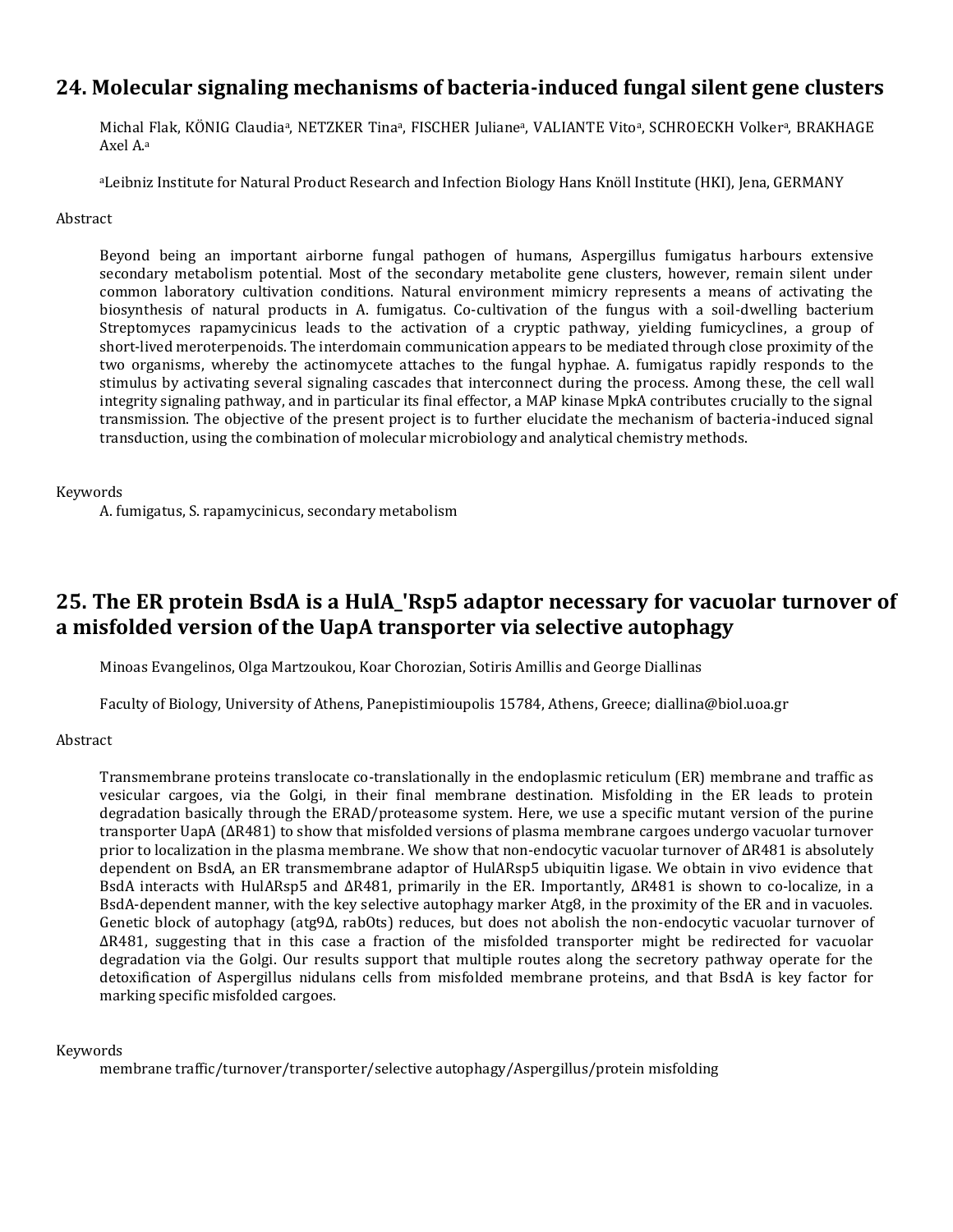### **24. Molecular signaling mechanisms of bacteria-induced fungal silent gene clusters**

Michal Flak, KÖNIG Claudiaª, NETZKER Tinaª, FISCHER Julianeª, VALIANTE Vitoª, SCHROECKH Volkerª, BRAKHAGE Axel A.<sup>a</sup>

<sup>a</sup>Leibniz Institute for Natural Product Research and Infection Biology Hans Knöll Institute (HKI), Jena, GERMANY

#### Abstract

Beyond being an important airborne fungal pathogen of humans, Aspergillus fumigatus harbours extensive secondary metabolism potential. Most of the secondary metabolite gene clusters, however, remain silent under common laboratory cultivation conditions. Natural environment mimicry represents a means of activating the biosynthesis of natural products in A. fumigatus. Co-cultivation of the fungus with a soil-dwelling bacterium Streptomyces rapamycinicus leads to the activation of a cryptic pathway, yielding fumicyclines, a group of short-lived meroterpenoids. The interdomain communication appears to be mediated through close proximity of the two organisms, whereby the actinomycete attaches to the fungal hyphae. A. fumigatus rapidly responds to the stimulus by activating several signaling cascades that interconnect during the process. Among these, the cell wall integrity signaling pathway, and in particular its final effector, a MAP kinase MpkA contributes crucially to the signal transmission. The objective of the present project is to further elucidate the mechanism of bacteria-induced signal transduction, using the combination of molecular microbiology and analytical chemistry methods.

#### Keywords

A. fumigatus, S. rapamycinicus, secondary metabolism

### **25. The ER protein BsdA is a HulA\_'Rsp5 adaptor necessary for vacuolar turnover of a misfolded version of the UapA transporter via selective autophagy**

Minoas Evangelinos, Olga Martzoukou, Koar Chorozian, Sotiris Amillis and George Diallinas

Faculty of Biology, University of Athens, Panepistimioupolis 15784, Athens, Greece; diallina@biol.uoa.gr

### Abstract

Transmembrane proteins translocate co-translationally in the endoplasmic reticulum (ER) membrane and traffic as vesicular cargoes, via the Golgi, in their final membrane destination. Misfolding in the ER leads to protein degradation basically through the ERAD/proteasome system. Here, we use a specific mutant version of the purine transporter UapA (ΔR481) to show that misfolded versions of plasma membrane cargoes undergo vacuolar turnover prior to localization in the plasma membrane. We show that non-endocytic vacuolar turnover of ΔR481 is absolutely dependent on BsdA, an ER transmembrane adaptor of HulARsp5 ubiquitin ligase. We obtain in vivo evidence that BsdA interacts with HulARsp5 and ΔR481, primarily in the ER. Importantly, ΔR481 is shown to co-localize, in a BsdA-dependent manner, with the key selective autophagy marker Atg8, in the proximity of the ER and in vacuoles. Genetic block of autophagy (atg9Δ, rabOts) reduces, but does not abolish the non-endocytic vacuolar turnover of ΔR481, suggesting that in this case a fraction of the misfolded transporter might be redirected for vacuolar degradation via the Golgi. Our results support that multiple routes along the secretory pathway operate for the detoxification of Aspergillus nidulans cells from misfolded membrane proteins, and that BsdA is key factor for marking specific misfolded cargoes.

### Keywords

membrane traffic/turnover/transporter/selective autophagy/Aspergillus/protein misfolding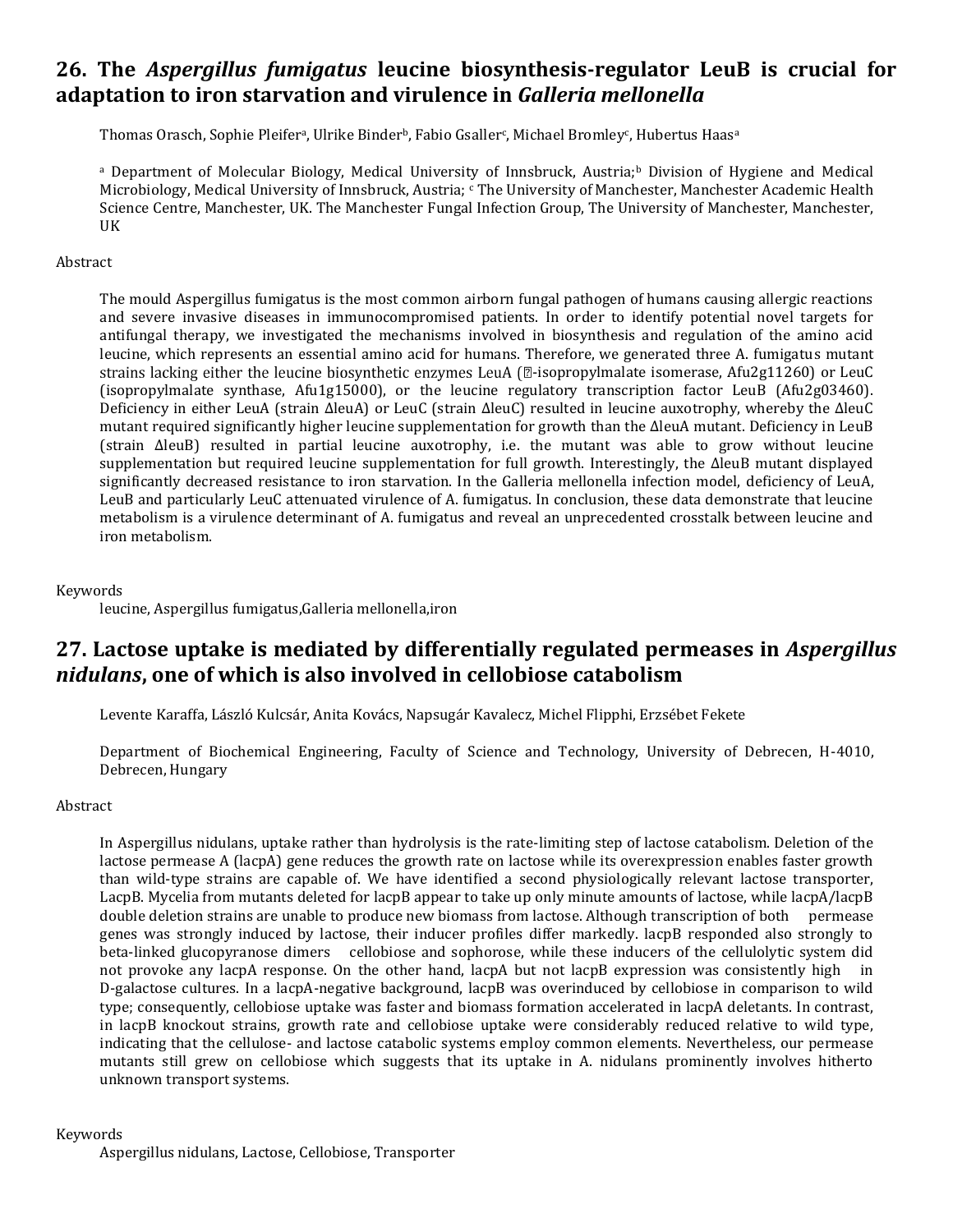### **26. The** *Aspergillus fumigatus* **leucine biosynthesis-regulator LeuB is crucial for adaptation to iron starvation and virulence in** *Galleria mellonella*

Thomas Orasch, Sophie Pleiferª, Ulrike Binder<sup>b</sup>, Fabio Gsaller¢, Michael Bromley¢, Hubertus Haasª

<sup>a</sup> Department of Molecular Biology, Medical University of Innsbruck, Austria;<sup>b</sup> Division of Hygiene and Medical Microbiology, Medical University of Innsbruck, Austria; Che University of Manchester, Manchester Academic Health Science Centre, Manchester, UK. The Manchester Fungal Infection Group, The University of Manchester, Manchester, UK

### Abstract

The mould Aspergillus fumigatus is the most common airborn fungal pathogen of humans causing allergic reactions and severe invasive diseases in immunocompromised patients. In order to identify potential novel targets for antifungal therapy, we investigated the mechanisms involved in biosynthesis and regulation of the amino acid leucine, which represents an essential amino acid for humans. Therefore, we generated three A. fumigatus mutant strains lacking either the leucine biosynthetic enzymes LeuA ( $\mathbb{Z}$ -isopropylmalate isomerase, Afu2g11260) or LeuC (isopropylmalate synthase, Afu1g15000), or the leucine regulatory transcription factor LeuB (Afu2g03460). Deficiency in either LeuA (strain ∆leuA) or LeuC (strain ∆leuC) resulted in leucine auxotrophy, whereby the ∆leuC mutant required significantly higher leucine supplementation for growth than the ∆leuA mutant. Deficiency in LeuB (strain ∆leuB) resulted in partial leucine auxotrophy, i.e. the mutant was able to grow without leucine supplementation but required leucine supplementation for full growth. Interestingly, the ∆leuB mutant displayed significantly decreased resistance to iron starvation. In the Galleria mellonella infection model, deficiency of LeuA, LeuB and particularly LeuC attenuated virulence of A. fumigatus. In conclusion, these data demonstrate that leucine metabolism is a virulence determinant of A. fumigatus and reveal an unprecedented crosstalk between leucine and iron metabolism.

### Keywords

leucine, Aspergillus fumigatus,Galleria mellonella,iron

### **27. Lactose uptake is mediated by differentially regulated permeases in** *Aspergillus nidulans***, one of which is also involved in cellobiose catabolism**

Levente Karaffa, László Kulcsár, Anita Kovács, Napsugár Kavalecz, Michel Flipphi, Erzsébet Fekete

Department of Biochemical Engineering, Faculty of Science and Technology, University of Debrecen, H-4010, Debrecen, Hungary

### Abstract

In Aspergillus nidulans, uptake rather than hydrolysis is the rate-limiting step of lactose catabolism. Deletion of the lactose permease A (lacpA) gene reduces the growth rate on lactose while its overexpression enables faster growth than wild-type strains are capable of. We have identified a second physiologically relevant lactose transporter, LacpB. Mycelia from mutants deleted for lacpB appear to take up only minute amounts of lactose, while lacpA/lacpB double deletion strains are unable to produce new biomass from lactose. Although transcription of both permease genes was strongly induced by lactose, their inducer profiles differ markedly. lacpB responded also strongly to beta-linked glucopyranose dimers cellobiose and sophorose, while these inducers of the cellulolytic system did not provoke any lacpA response. On the other hand, lacpA but not lacpB expression was consistently high in D-galactose cultures. In a lacpA-negative background, lacpB was overinduced by cellobiose in comparison to wild type; consequently, cellobiose uptake was faster and biomass formation accelerated in lacpA deletants. In contrast, in lacpB knockout strains, growth rate and cellobiose uptake were considerably reduced relative to wild type, indicating that the cellulose- and lactose catabolic systems employ common elements. Nevertheless, our permease mutants still grew on cellobiose which suggests that its uptake in A. nidulans prominently involves hitherto unknown transport systems.

### Keywords

Aspergillus nidulans, Lactose, Cellobiose, Transporter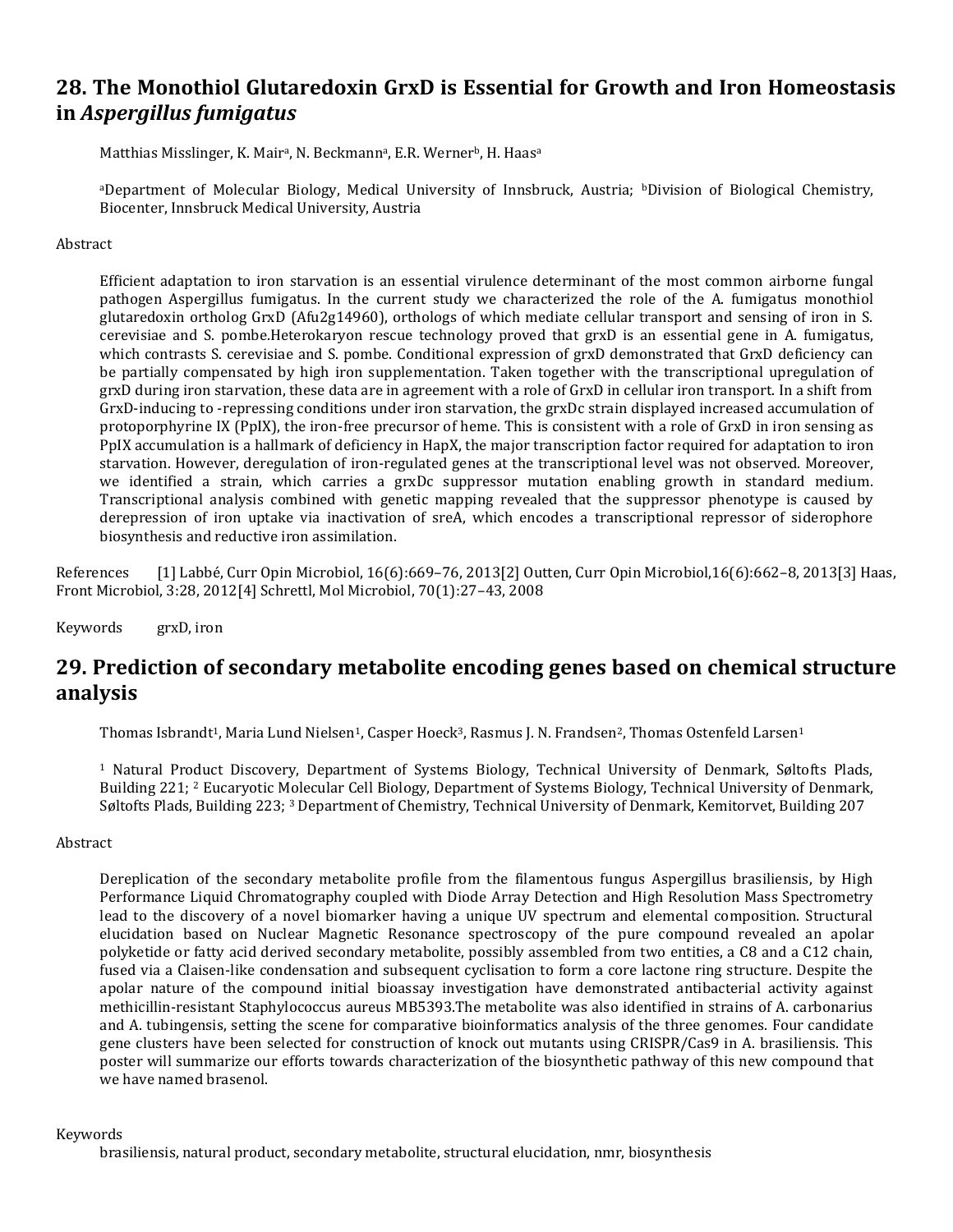### **28. The Monothiol Glutaredoxin GrxD is Essential for Growth and Iron Homeostasis in** *Aspergillus fumigatus*

Matthias Misslinger, K. Mair<sup>a</sup>, N. Beckmann<sup>a</sup>, E.R. Werner<sup>b</sup>, H. Haas<sup>a</sup>

<sup>a</sup>Department of Molecular Biology, Medical University of Innsbruck, Austria; bDivision of Biological Chemistry, Biocenter, Innsbruck Medical University, Austria

#### Abstract

Efficient adaptation to iron starvation is an essential virulence determinant of the most common airborne fungal pathogen Aspergillus fumigatus. In the current study we characterized the role of the A. fumigatus monothiol glutaredoxin ortholog GrxD (Afu2g14960), orthologs of which mediate cellular transport and sensing of iron in S. cerevisiae and S. pombe.Heterokaryon rescue technology proved that grxD is an essential gene in A. fumigatus, which contrasts S. cerevisiae and S. pombe. Conditional expression of grxD demonstrated that GrxD deficiency can be partially compensated by high iron supplementation. Taken together with the transcriptional upregulation of grxD during iron starvation, these data are in agreement with a role of GrxD in cellular iron transport. In a shift from GrxD-inducing to -repressing conditions under iron starvation, the grxDc strain displayed increased accumulation of protoporphyrine IX (PpIX), the iron-free precursor of heme. This is consistent with a role of GrxD in iron sensing as PpIX accumulation is a hallmark of deficiency in HapX, the major transcription factor required for adaptation to iron starvation. However, deregulation of iron-regulated genes at the transcriptional level was not observed. Moreover, we identified a strain, which carries a grxDc suppressor mutation enabling growth in standard medium. Transcriptional analysis combined with genetic mapping revealed that the suppressor phenotype is caused by derepression of iron uptake via inactivation of sreA, which encodes a transcriptional repressor of siderophore biosynthesis and reductive iron assimilation.

References [1] Labbé, Curr Opin Microbiol, 16(6):669–76, 2013[2] Outten, Curr Opin Microbiol,16(6):662–8, 2013[3] Haas, Front Microbiol, 3:28, 2012[4] Schrettl, Mol Microbiol, 70(1):27–43, 2008

Keywords grxD, iron

### **29. Prediction of secondary metabolite encoding genes based on chemical structure analysis**

Thomas Isbrandt<sup>1</sup>, Maria Lund Nielsen<sup>1</sup>, Casper Hoeck<sup>3</sup>, Rasmus J. N. Frandsen<sup>2</sup>, Thomas Ostenfeld Larsen<sup>1</sup>

<sup>1</sup> Natural Product Discovery, Department of Systems Biology, Technical University of Denmark, Søltofts Plads, Building 221; <sup>2</sup> Eucaryotic Molecular Cell Biology, Department of Systems Biology, Technical University of Denmark, Søltofts Plads, Building 223; <sup>3</sup> Department of Chemistry, Technical University of Denmark, Kemitorvet, Building 207

### Abstract

Dereplication of the secondary metabolite profile from the filamentous fungus Aspergillus brasiliensis, by High Performance Liquid Chromatography coupled with Diode Array Detection and High Resolution Mass Spectrometry lead to the discovery of a novel biomarker having a unique UV spectrum and elemental composition. Structural elucidation based on Nuclear Magnetic Resonance spectroscopy of the pure compound revealed an apolar polyketide or fatty acid derived secondary metabolite, possibly assembled from two entities, a C8 and a C12 chain, fused via a Claisen-like condensation and subsequent cyclisation to form a core lactone ring structure. Despite the apolar nature of the compound initial bioassay investigation have demonstrated antibacterial activity against methicillin-resistant Staphylococcus aureus MB5393.The metabolite was also identified in strains of A. carbonarius and A. tubingensis, setting the scene for comparative bioinformatics analysis of the three genomes. Four candidate gene clusters have been selected for construction of knock out mutants using CRISPR/Cas9 in A. brasiliensis. This poster will summarize our efforts towards characterization of the biosynthetic pathway of this new compound that we have named brasenol.

#### Keywords

brasiliensis, natural product, secondary metabolite, structural elucidation, nmr, biosynthesis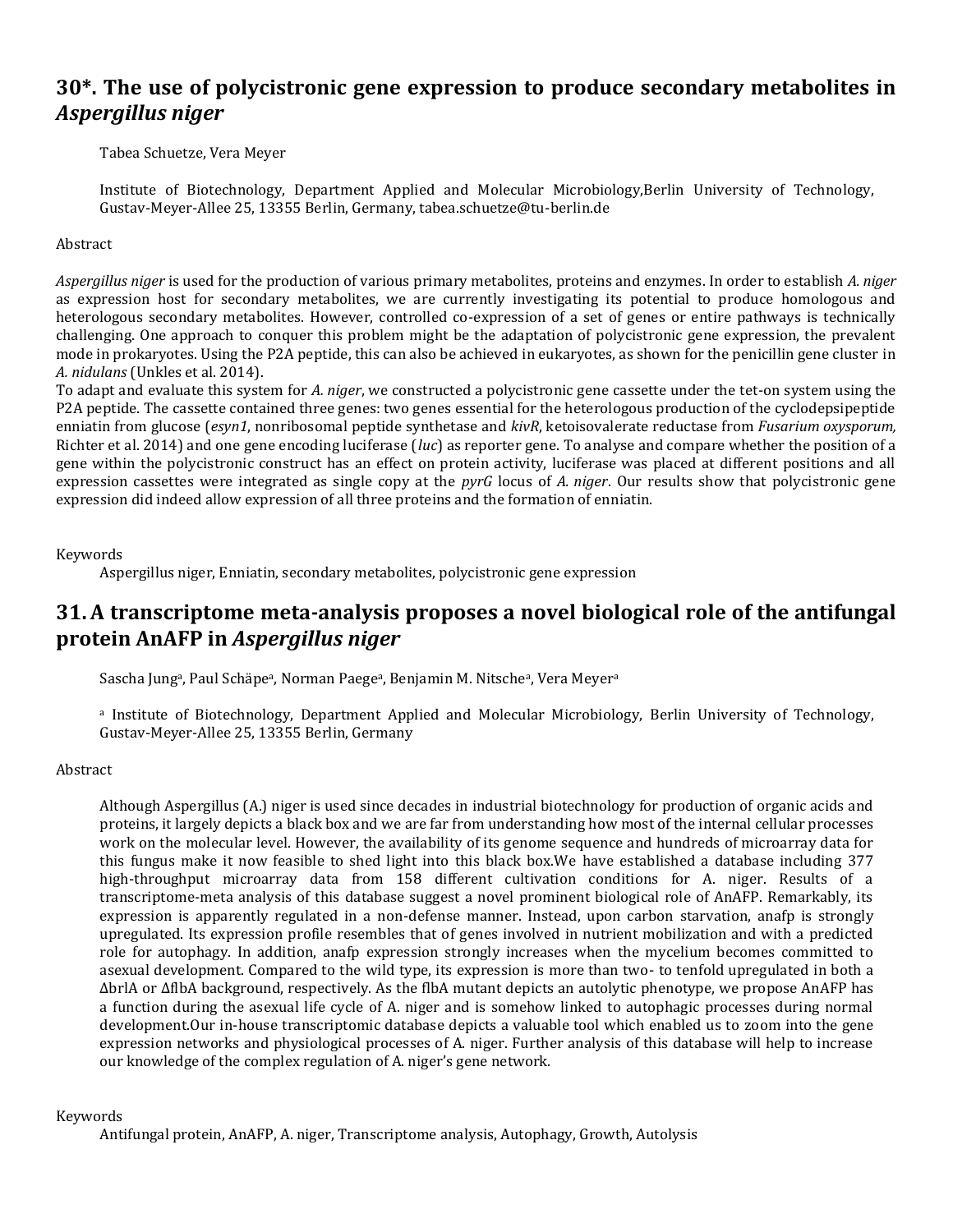### **30\*. The use of polycistronic gene expression to produce secondary metabolites in**  *Aspergillus niger*

Tabea Schuetze, Vera Meyer

Institute of Biotechnology, Department Applied and Molecular Microbiology,Berlin University of Technology, Gustav-Meyer-Allee 25, 13355 Berlin, Germany, tabea.schuetze@tu-berlin.de

### Abstract

*Aspergillus niger* is used for the production of various primary metabolites, proteins and enzymes. In order to establish *A. niger*  as expression host for secondary metabolites, we are currently investigating its potential to produce homologous and heterologous secondary metabolites. However, controlled co-expression of a set of genes or entire pathways is technically challenging. One approach to conquer this problem might be the adaptation of polycistronic gene expression, the prevalent mode in prokaryotes. Using the P2A peptide, this can also be achieved in eukaryotes, as shown for the penicillin gene cluster in *A. nidulans* (Unkles et al. 2014).

To adapt and evaluate this system for *A. niger*, we constructed a polycistronic gene cassette under the tet-on system using the P2A peptide. The cassette contained three genes: two genes essential for the heterologous production of the cyclodepsipeptide enniatin from glucose (*esyn1*, nonribosomal peptide synthetase and *kivR*, ketoisovalerate reductase from *Fusarium oxysporum,* Richter et al. 2014) and one gene encoding luciferase (*luc*) as reporter gene. To analyse and compare whether the position of a gene within the polycistronic construct has an effect on protein activity, luciferase was placed at different positions and all expression cassettes were integrated as single copy at the *pyrG* locus of *A. niger*. Our results show that polycistronic gene expression did indeed allow expression of all three proteins and the formation of enniatin.

#### Keywords

Aspergillus niger, Enniatin, secondary metabolites, polycistronic gene expression

### **31.A transcriptome meta-analysis proposes a novel biological role of the antifungal protein AnAFP in** *Aspergillus niger*

Sascha Jung<sup>a</sup>, Paul Schäpe<sup>a</sup>, Norman Paege<sup>a</sup>, Benjamin M. Nitsche<sup>a</sup>, Vera Meyer<sup>a</sup>

a Institute of Biotechnology, Department Applied and Molecular Microbiology, Berlin University of Technology, Gustav-Meyer-Allee 25, 13355 Berlin, Germany

### Abstract

Although Aspergillus (A.) niger is used since decades in industrial biotechnology for production of organic acids and proteins, it largely depicts a black box and we are far from understanding how most of the internal cellular processes work on the molecular level. However, the availability of its genome sequence and hundreds of microarray data for this fungus make it now feasible to shed light into this black box.We have established a database including 377 high-throughput microarray data from 158 different cultivation conditions for A. niger. Results of a transcriptome-meta analysis of this database suggest a novel prominent biological role of AnAFP. Remarkably, its expression is apparently regulated in a non-defense manner. Instead, upon carbon starvation, anafp is strongly upregulated. Its expression profile resembles that of genes involved in nutrient mobilization and with a predicted role for autophagy. In addition, anafp expression strongly increases when the mycelium becomes committed to asexual development. Compared to the wild type, its expression is more than two- to tenfold upregulated in both a ΔbrlA or ΔflbA background, respectively. As the flbA mutant depicts an autolytic phenotype, we propose AnAFP has a function during the asexual life cycle of A. niger and is somehow linked to autophagic processes during normal development.Our in-house transcriptomic database depicts a valuable tool which enabled us to zoom into the gene expression networks and physiological processes of A. niger. Further analysis of this database will help to increase our knowledge of the complex regulation of A. niger's gene network.

#### Keywords

Antifungal protein, AnAFP, A. niger, Transcriptome analysis, Autophagy, Growth, Autolysis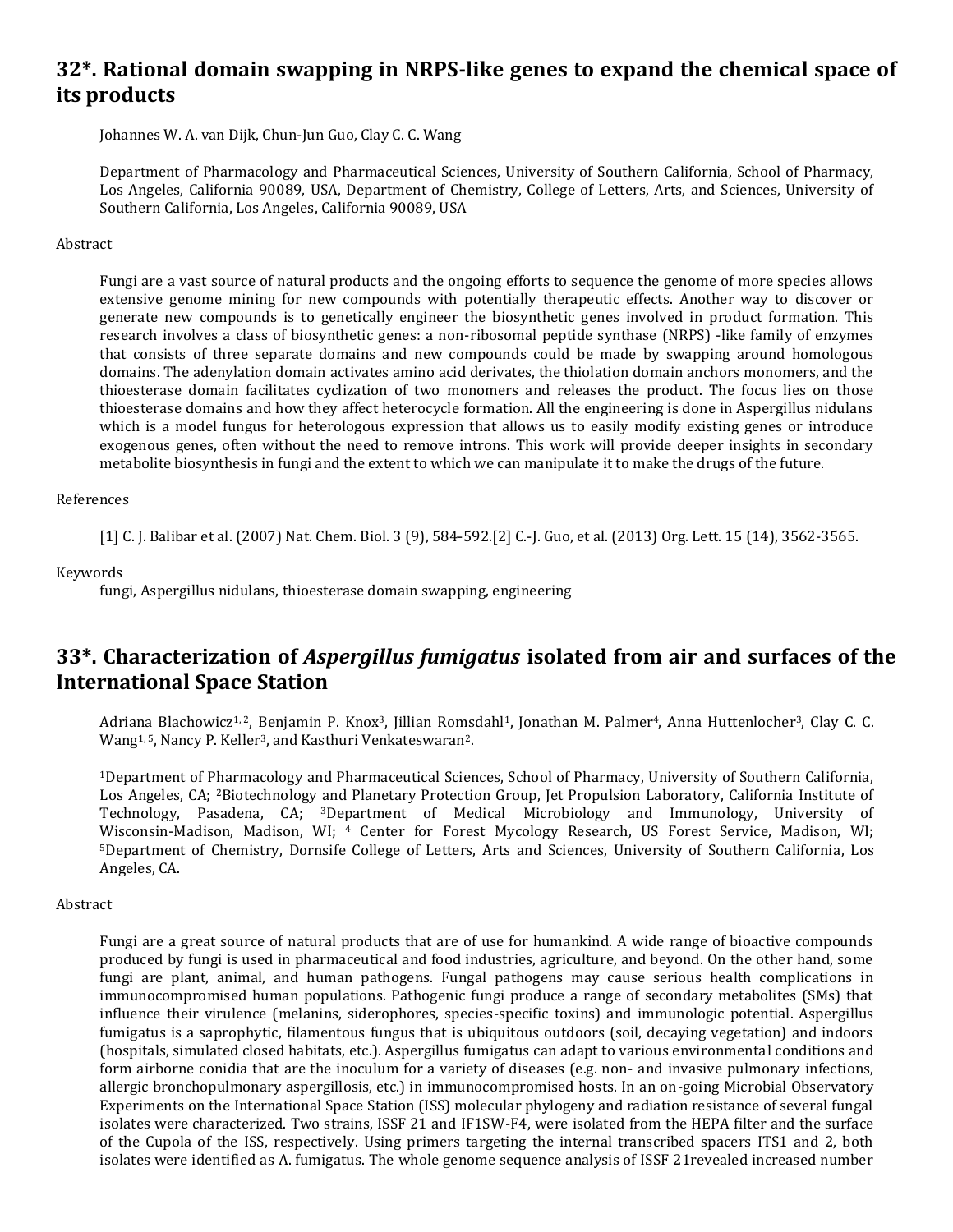### **32\*. Rational domain swapping in NRPS-like genes to expand the chemical space of its products**

Johannes W. A. van Dijk, Chun-Jun Guo, Clay C. C. Wang

Department of Pharmacology and Pharmaceutical Sciences, University of Southern California, School of Pharmacy, Los Angeles, California 90089, USA, Department of Chemistry, College of Letters, Arts, and Sciences, University of Southern California, Los Angeles, California 90089, USA

#### Abstract

Fungi are a vast source of natural products and the ongoing efforts to sequence the genome of more species allows extensive genome mining for new compounds with potentially therapeutic effects. Another way to discover or generate new compounds is to genetically engineer the biosynthetic genes involved in product formation. This research involves a class of biosynthetic genes: a non-ribosomal peptide synthase (NRPS) -like family of enzymes that consists of three separate domains and new compounds could be made by swapping around homologous domains. The adenylation domain activates amino acid derivates, the thiolation domain anchors monomers, and the thioesterase domain facilitates cyclization of two monomers and releases the product. The focus lies on those thioesterase domains and how they affect heterocycle formation. All the engineering is done in Aspergillus nidulans which is a model fungus for heterologous expression that allows us to easily modify existing genes or introduce exogenous genes, often without the need to remove introns. This work will provide deeper insights in secondary metabolite biosynthesis in fungi and the extent to which we can manipulate it to make the drugs of the future.

#### References

[1] C. J. Balibar et al. (2007) Nat. Chem. Biol. 3 (9), 584-592.[2] C.-J. Guo, et al. (2013) Org. Lett. 15 (14), 3562-3565.

#### Keywords

fungi, Aspergillus nidulans, thioesterase domain swapping, engineering

### **33\*. Characterization of** *Aspergillus fumigatus* **isolated from air and surfaces of the International Space Station**

Adriana Blachowicz<sup>1, 2</sup>, Benjamin P. Knox<sup>3</sup>, Jillian Romsdahl<sup>1</sup>, Jonathan M. Palmer<sup>4</sup>, Anna Huttenlocher<sup>3</sup>, Clay C. C. Wang<sup>1, 5</sup>, Nancy P. Keller<sup>3</sup>, and Kasthuri Venkateswaran<sup>2</sup>.

<sup>1</sup>Department of Pharmacology and Pharmaceutical Sciences, School of Pharmacy, University of Southern California, Los Angeles, CA; 2Biotechnology and Planetary Protection Group, Jet Propulsion Laboratory, California Institute of Technology, Pasadena, CA; 3Department of Medical Microbiology and Immunology, University of Wisconsin-Madison, Madison, WI; 4 Center for Forest Mycology Research, US Forest Service, Madison, WI; <sup>5</sup>Department of Chemistry, Dornsife College of Letters, Arts and Sciences, University of Southern California, Los Angeles, CA.

#### Abstract

Fungi are a great source of natural products that are of use for humankind. A wide range of bioactive compounds produced by fungi is used in pharmaceutical and food industries, agriculture, and beyond. On the other hand, some fungi are plant, animal, and human pathogens. Fungal pathogens may cause serious health complications in immunocompromised human populations. Pathogenic fungi produce a range of secondary metabolites (SMs) that influence their virulence (melanins, siderophores, species-specific toxins) and immunologic potential. Aspergillus fumigatus is a saprophytic, filamentous fungus that is ubiquitous outdoors (soil, decaying vegetation) and indoors (hospitals, simulated closed habitats, etc.). Aspergillus fumigatus can adapt to various environmental conditions and form airborne conidia that are the inoculum for a variety of diseases (e.g. non- and invasive pulmonary infections, allergic bronchopulmonary aspergillosis, etc.) in immunocompromised hosts. In an on-going Microbial Observatory Experiments on the International Space Station (ISS) molecular phylogeny and radiation resistance of several fungal isolates were characterized. Two strains, ISSF 21 and IF1SW-F4, were isolated from the HEPA filter and the surface of the Cupola of the ISS, respectively. Using primers targeting the internal transcribed spacers ITS1 and 2, both isolates were identified as A. fumigatus. The whole genome sequence analysis of ISSF 21revealed increased number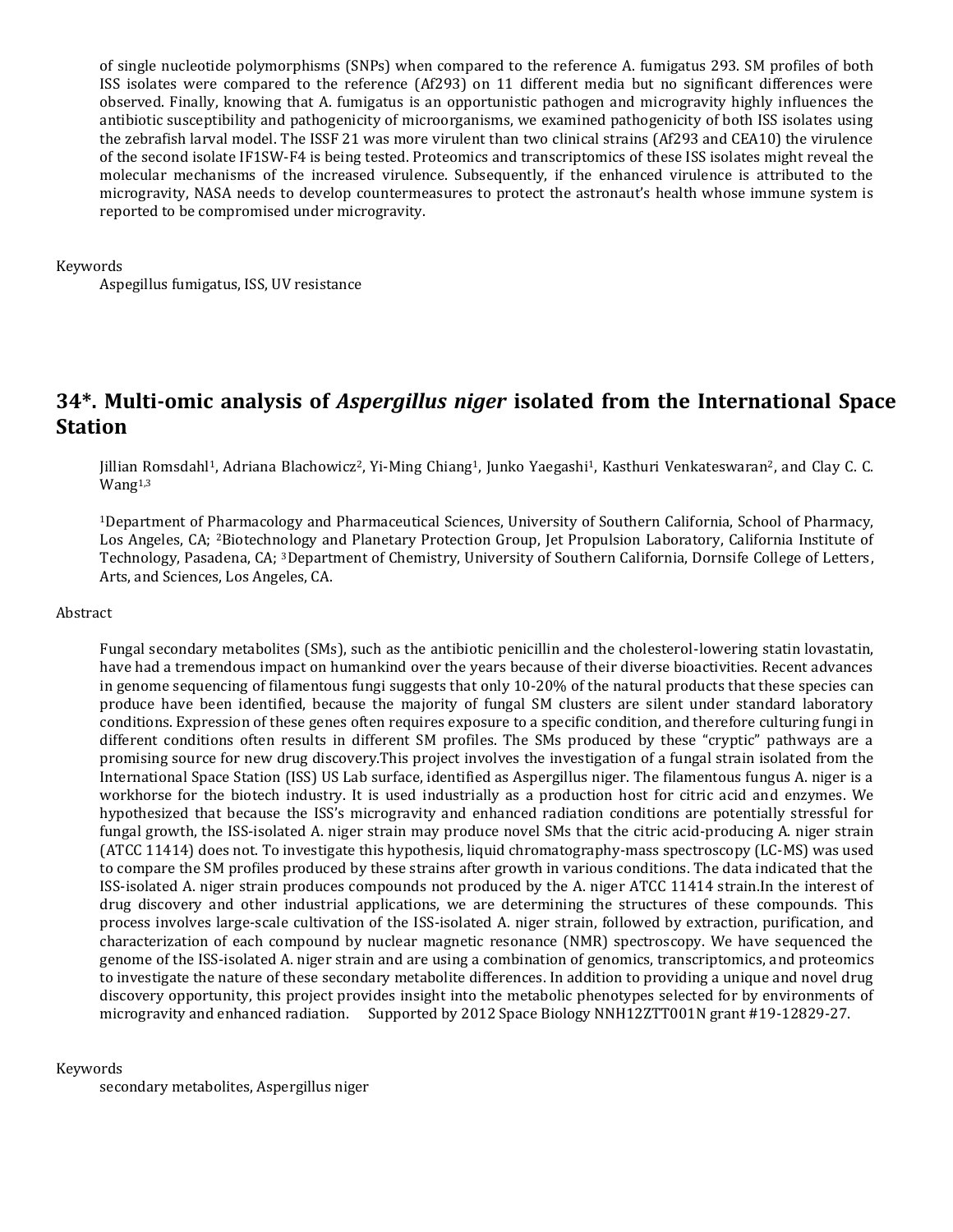of single nucleotide polymorphisms (SNPs) when compared to the reference A. fumigatus 293. SM profiles of both ISS isolates were compared to the reference (Af293) on 11 different media but no significant differences were observed. Finally, knowing that A. fumigatus is an opportunistic pathogen and microgravity highly influences the antibiotic susceptibility and pathogenicity of microorganisms, we examined pathogenicity of both ISS isolates using the zebrafish larval model. The ISSF 21 was more virulent than two clinical strains (Af293 and CEA10) the virulence of the second isolate IF1SW-F4 is being tested. Proteomics and transcriptomics of these ISS isolates might reveal the molecular mechanisms of the increased virulence. Subsequently, if the enhanced virulence is attributed to the microgravity, NASA needs to develop countermeasures to protect the astronaut's health whose immune system is reported to be compromised under microgravity.

#### Keywords

Aspegillus fumigatus, ISS, UV resistance

### **34\*. Multi-omic analysis of** *Aspergillus niger* **isolated from the International Space Station**

Jillian Romsdahl<sup>1</sup>, Adriana Blachowicz<sup>2</sup>, Yi-Ming Chiang<sup>1</sup>, Junko Yaegashi<sup>1</sup>, Kasthuri Venkateswaran<sup>2</sup>, and Clay C. C. Wang1,3

<sup>1</sup>Department of Pharmacology and Pharmaceutical Sciences, University of Southern California, School of Pharmacy, Los Angeles, CA; 2Biotechnology and Planetary Protection Group, Jet Propulsion Laboratory, California Institute of Technology, Pasadena, CA; 3Department of Chemistry, University of Southern California, Dornsife College of Letters, Arts, and Sciences, Los Angeles, CA.

#### Abstract

Fungal secondary metabolites (SMs), such as the antibiotic penicillin and the cholesterol-lowering statin lovastatin, have had a tremendous impact on humankind over the years because of their diverse bioactivities. Recent advances in genome sequencing of filamentous fungi suggests that only 10-20% of the natural products that these species can produce have been identified, because the majority of fungal SM clusters are silent under standard laboratory conditions. Expression of these genes often requires exposure to a specific condition, and therefore culturing fungi in different conditions often results in different SM profiles. The SMs produced by these "cryptic" pathways are a promising source for new drug discovery.This project involves the investigation of a fungal strain isolated from the International Space Station (ISS) US Lab surface, identified as Aspergillus niger. The filamentous fungus A. niger is a workhorse for the biotech industry. It is used industrially as a production host for citric acid and enzymes. We hypothesized that because the ISS's microgravity and enhanced radiation conditions are potentially stressful for fungal growth, the ISS-isolated A. niger strain may produce novel SMs that the citric acid-producing A. niger strain (ATCC 11414) does not. To investigate this hypothesis, liquid chromatography-mass spectroscopy (LC-MS) was used to compare the SM profiles produced by these strains after growth in various conditions. The data indicated that the ISS-isolated A. niger strain produces compounds not produced by the A. niger ATCC 11414 strain.In the interest of drug discovery and other industrial applications, we are determining the structures of these compounds. This process involves large-scale cultivation of the ISS-isolated A. niger strain, followed by extraction, purification, and characterization of each compound by nuclear magnetic resonance (NMR) spectroscopy. We have sequenced the genome of the ISS-isolated A. niger strain and are using a combination of genomics, transcriptomics, and proteomics to investigate the nature of these secondary metabolite differences. In addition to providing a unique and novel drug discovery opportunity, this project provides insight into the metabolic phenotypes selected for by environments of microgravity and enhanced radiation. Supported by 2012 Space Biology NNH12ZTT001N grant #19-12829-27.

#### Keywords

secondary metabolites, Aspergillus niger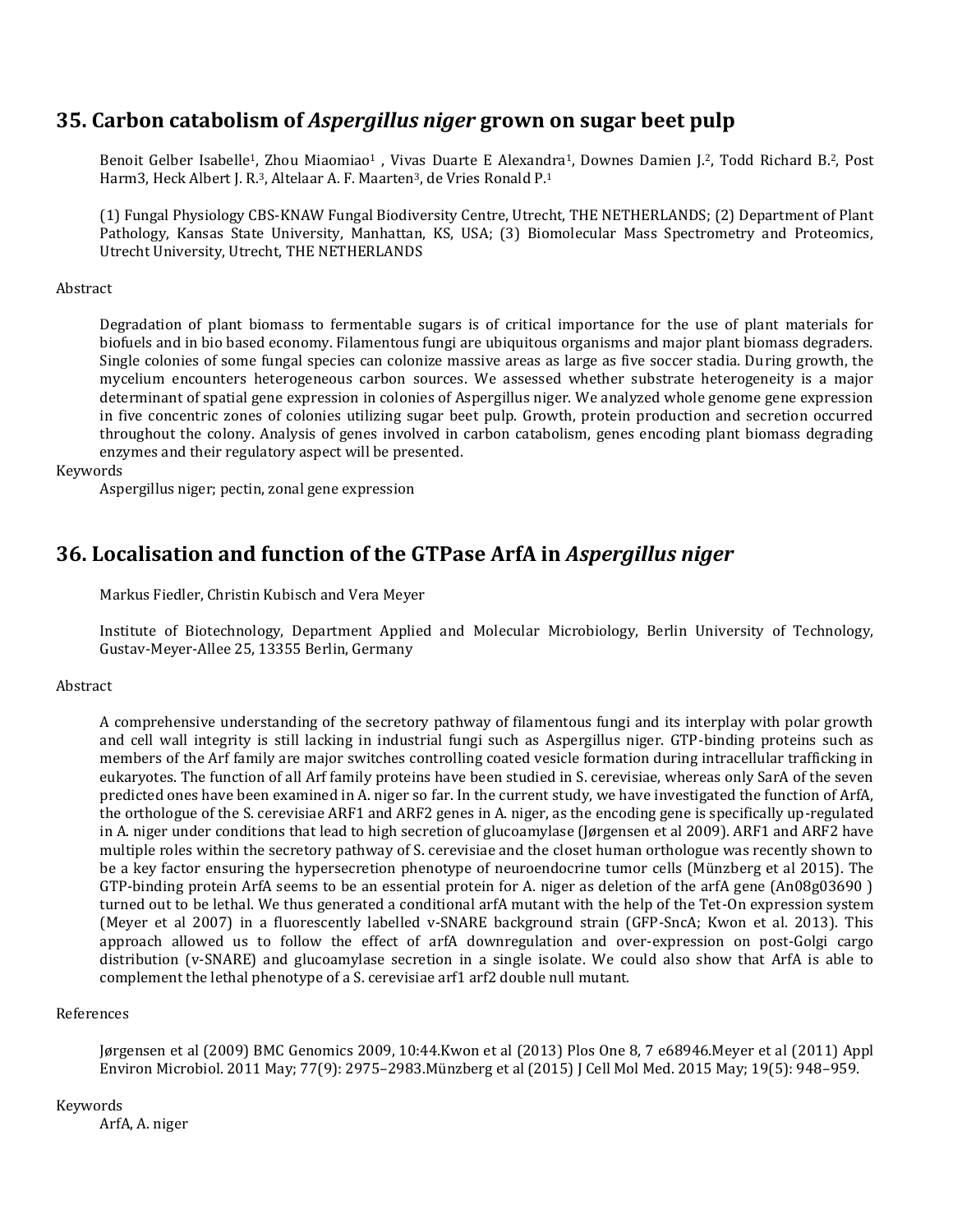### **35. Carbon catabolism of** *Aspergillus niger* **grown on sugar beet pulp**

Benoit Gelber Isabelle<sup>1</sup>, Zhou Miaomiao<sup>1</sup>, Vivas Duarte E Alexandra<sup>1</sup>, Downes Damien J.<sup>2</sup>, Todd Richard B.<sup>2</sup>, Post Harm3, Heck Albert J. R.<sup>3</sup>, Altelaar A. F. Maarten<sup>3</sup>, de Vries Ronald P.<sup>1</sup>

(1) Fungal Physiology CBS-KNAW Fungal Biodiversity Centre, Utrecht, THE NETHERLANDS; (2) Department of Plant Pathology, Kansas State University, Manhattan, KS, USA; (3) Biomolecular Mass Spectrometry and Proteomics, Utrecht University, Utrecht, THE NETHERLANDS

### **Abstract**

Degradation of plant biomass to fermentable sugars is of critical importance for the use of plant materials for biofuels and in bio based economy. Filamentous fungi are ubiquitous organisms and major plant biomass degraders. Single colonies of some fungal species can colonize massive areas as large as five soccer stadia. During growth, the mycelium encounters heterogeneous carbon sources. We assessed whether substrate heterogeneity is a major determinant of spatial gene expression in colonies of Aspergillus niger. We analyzed whole genome gene expression in five concentric zones of colonies utilizing sugar beet pulp. Growth, protein production and secretion occurred throughout the colony. Analysis of genes involved in carbon catabolism, genes encoding plant biomass degrading enzymes and their regulatory aspect will be presented.

### Keywords

Aspergillus niger; pectin, zonal gene expression

### **36. Localisation and function of the GTPase ArfA in** *Aspergillus niger*

Markus Fiedler, Christin Kubisch and Vera Meyer

Institute of Biotechnology, Department Applied and Molecular Microbiology, Berlin University of Technology, Gustav-Meyer-Allee 25, 13355 Berlin, Germany

### **Abstract**

A comprehensive understanding of the secretory pathway of filamentous fungi and its interplay with polar growth and cell wall integrity is still lacking in industrial fungi such as Aspergillus niger. GTP-binding proteins such as members of the Arf family are major switches controlling coated vesicle formation during intracellular trafficking in eukaryotes. The function of all Arf family proteins have been studied in S. cerevisiae, whereas only SarA of the seven predicted ones have been examined in A. niger so far. In the current study, we have investigated the function of ArfA, the orthologue of the S. cerevisiae ARF1 and ARF2 genes in A. niger, as the encoding gene is specifically up-regulated in A. niger under conditions that lead to high secretion of glucoamylase (Jørgensen et al 2009). ARF1 and ARF2 have multiple roles within the secretory pathway of S. cerevisiae and the closet human orthologue was recently shown to be a key factor ensuring the hypersecretion phenotype of neuroendocrine tumor cells (Münzberg et al 2015). The GTP-binding protein ArfA seems to be an essential protein for A. niger as deletion of the arfA gene (An08g03690 ) turned out to be lethal. We thus generated a conditional arfA mutant with the help of the Tet-On expression system (Meyer et al 2007) in a fluorescently labelled v-SNARE background strain (GFP-SncA; Kwon et al. 2013). This approach allowed us to follow the effect of arfA downregulation and over-expression on post-Golgi cargo distribution (v-SNARE) and glucoamylase secretion in a single isolate. We could also show that ArfA is able to complement the lethal phenotype of a S. cerevisiae arf1 arf2 double null mutant.

### References

Jørgensen et al (2009) BMC Genomics 2009, 10:44.Kwon et al (2013) Plos One 8, 7 e68946.Meyer et al (2011) Appl Environ Microbiol. 2011 May; 77(9): 2975–2983.Münzberg et al (2015) J Cell Mol Med. 2015 May; 19(5): 948–959.

### Keywords

ArfA, A. niger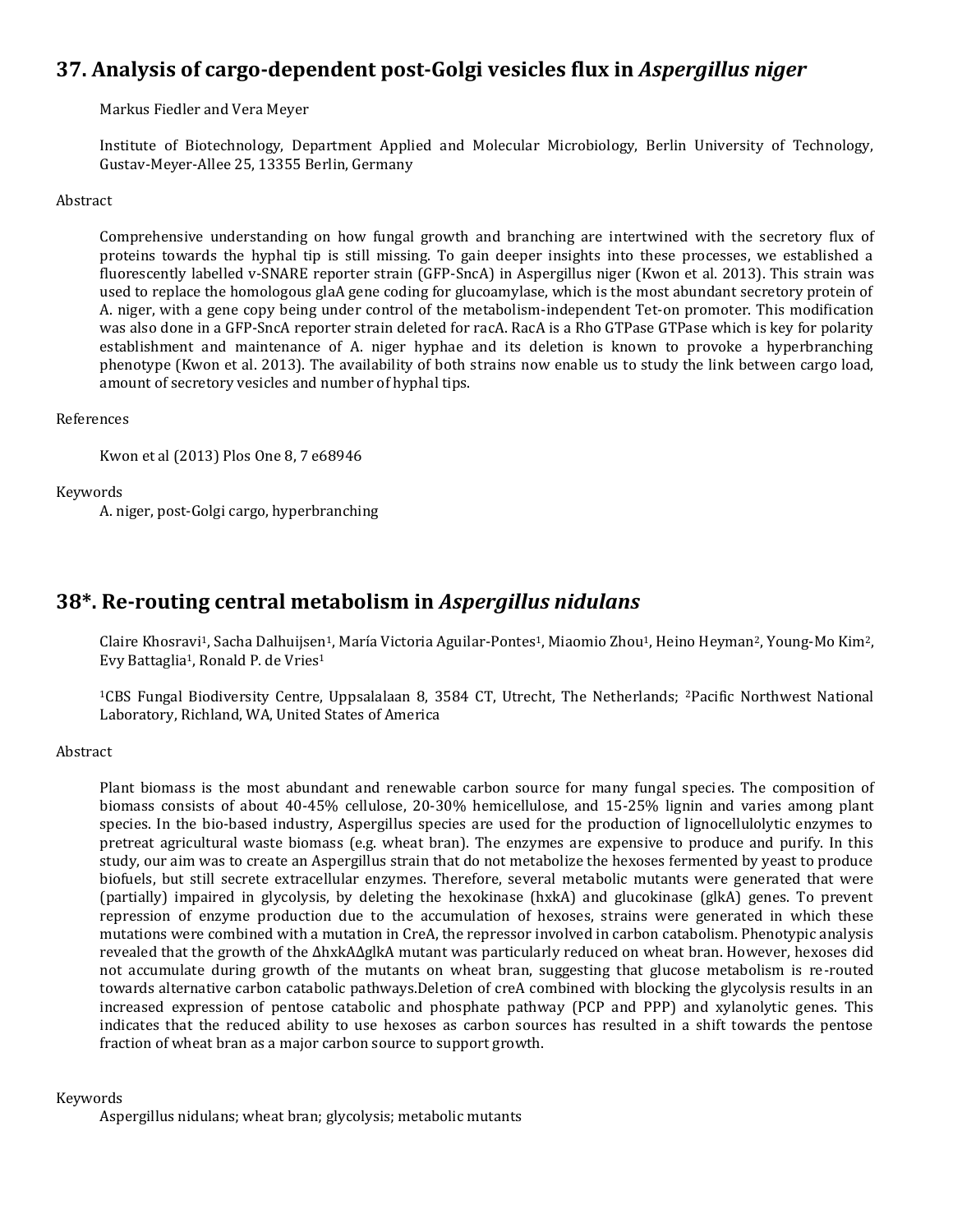### **37. Analysis of cargo-dependent post-Golgi vesicles flux in** *Aspergillus niger*

Markus Fiedler and Vera Meyer

Institute of Biotechnology, Department Applied and Molecular Microbiology, Berlin University of Technology, Gustav-Meyer-Allee 25, 13355 Berlin, Germany

#### Abstract

Comprehensive understanding on how fungal growth and branching are intertwined with the secretory flux of proteins towards the hyphal tip is still missing. To gain deeper insights into these processes, we established a fluorescently labelled v-SNARE reporter strain (GFP-SncA) in Aspergillus niger (Kwon et al. 2013). This strain was used to replace the homologous glaA gene coding for glucoamylase, which is the most abundant secretory protein of A. niger, with a gene copy being under control of the metabolism-independent Tet-on promoter. This modification was also done in a GFP-SncA reporter strain deleted for racA. RacA is a Rho GTPase GTPase which is key for polarity establishment and maintenance of A. niger hyphae and its deletion is known to provoke a hyperbranching phenotype (Kwon et al. 2013). The availability of both strains now enable us to study the link between cargo load, amount of secretory vesicles and number of hyphal tips.

#### References

Kwon et al (2013) Plos One 8, 7 e68946

#### Keywords

A. niger, post-Golgi cargo, hyperbranching

### **38\*. Re-routing central metabolism in** *Aspergillus nidulans*

Claire Khosravi<sup>1</sup>, Sacha Dalhuijsen<sup>1</sup>, María Victoria Aguilar-Pontes<sup>1</sup>, Miaomio Zhou<sup>1</sup>, Heino Heyman<sup>2</sup>, Young-Mo Kim<sup>2</sup>, Evy Battaglia<sup>1</sup>, Ronald P. de Vries<sup>1</sup>

<sup>1</sup>CBS Fungal Biodiversity Centre, Uppsalalaan 8, 3584 CT, Utrecht, The Netherlands; 2Pacific Northwest National Laboratory, Richland, WA, United States of America

#### Abstract

Plant biomass is the most abundant and renewable carbon source for many fungal species. The composition of biomass consists of about 40-45% cellulose, 20-30% hemicellulose, and 15-25% lignin and varies among plant species. In the bio-based industry, Aspergillus species are used for the production of lignocellulolytic enzymes to pretreat agricultural waste biomass (e.g. wheat bran). The enzymes are expensive to produce and purify. In this study, our aim was to create an Aspergillus strain that do not metabolize the hexoses fermented by yeast to produce biofuels, but still secrete extracellular enzymes. Therefore, several metabolic mutants were generated that were (partially) impaired in glycolysis, by deleting the hexokinase (hxkA) and glucokinase (glkA) genes. To prevent repression of enzyme production due to the accumulation of hexoses, strains were generated in which these mutations were combined with a mutation in CreA, the repressor involved in carbon catabolism. Phenotypic analysis revealed that the growth of the ΔhxkAΔglkA mutant was particularly reduced on wheat bran. However, hexoses did not accumulate during growth of the mutants on wheat bran, suggesting that glucose metabolism is re-routed towards alternative carbon catabolic pathways.Deletion of creA combined with blocking the glycolysis results in an increased expression of pentose catabolic and phosphate pathway (PCP and PPP) and xylanolytic genes. This indicates that the reduced ability to use hexoses as carbon sources has resulted in a shift towards the pentose fraction of wheat bran as a major carbon source to support growth.

Keywords

Aspergillus nidulans; wheat bran; glycolysis; metabolic mutants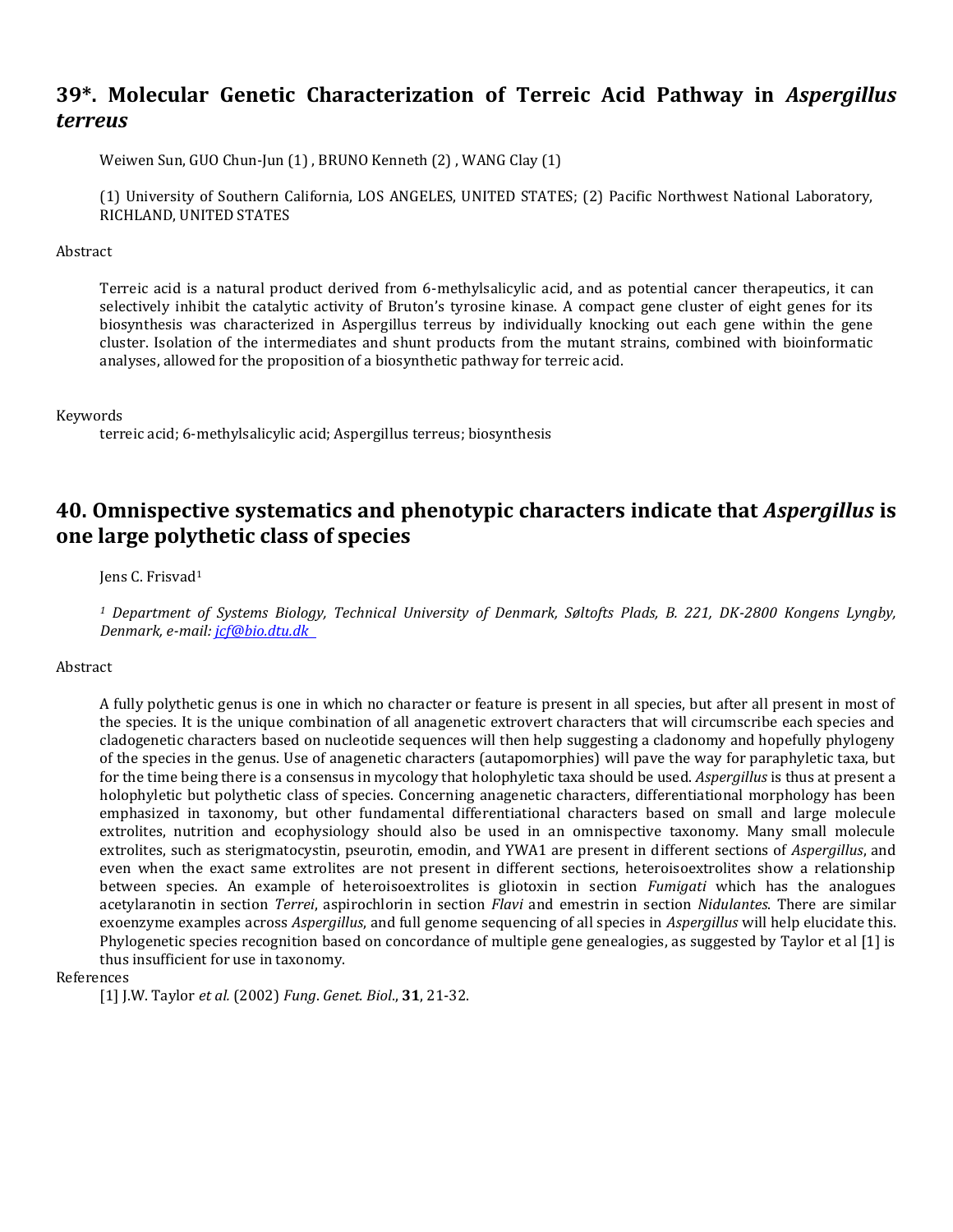### **39\*. Molecular Genetic Characterization of Terreic Acid Pathway in** *Aspergillus terreus*

Weiwen Sun, GUO Chun-Jun (1) , BRUNO Kenneth (2) , WANG Clay (1)

(1) University of Southern California, LOS ANGELES, UNITED STATES; (2) Pacific Northwest National Laboratory, RICHLAND, UNITED STATES

#### Abstract

Terreic acid is a natural product derived from 6-methylsalicylic acid, and as potential cancer therapeutics, it can selectively inhibit the catalytic activity of Bruton's tyrosine kinase. A compact gene cluster of eight genes for its biosynthesis was characterized in Aspergillus terreus by individually knocking out each gene within the gene cluster. Isolation of the intermediates and shunt products from the mutant strains, combined with bioinformatic analyses, allowed for the proposition of a biosynthetic pathway for terreic acid.

#### Keywords

terreic acid; 6-methylsalicylic acid; Aspergillus terreus; biosynthesis

### **40. Omnispective systematics and phenotypic characters indicate that** *Aspergillus* **is one large polythetic class of species**

#### Jens C. Frisvad<sup>1</sup>

*<sup>1</sup> Department of Systems Biology, Technical University of Denmark, Søltofts Plads, B. 221, DK-2800 Kongens Lyngby, Denmark, e-mail[: jcf@bio.dtu.dk](mailto:jcf@bio.dtu.dk)*

#### Abstract

A fully polythetic genus is one in which no character or feature is present in all species, but after all present in most of the species. It is the unique combination of all anagenetic extrovert characters that will circumscribe each species and cladogenetic characters based on nucleotide sequences will then help suggesting a cladonomy and hopefully phylogeny of the species in the genus. Use of anagenetic characters (autapomorphies) will pave the way for paraphyletic taxa, but for the time being there is a consensus in mycology that holophyletic taxa should be used. *Aspergillus* is thus at present a holophyletic but polythetic class of species. Concerning anagenetic characters, differentiational morphology has been emphasized in taxonomy, but other fundamental differentiational characters based on small and large molecule extrolites, nutrition and ecophysiology should also be used in an omnispective taxonomy. Many small molecule extrolites, such as sterigmatocystin, pseurotin, emodin, and YWA1 are present in different sections of *Aspergillus*, and even when the exact same extrolites are not present in different sections, heteroisoextrolites show a relationship between species. An example of heteroisoextrolites is gliotoxin in section *Fumigati* which has the analogues acetylaranotin in section *Terrei*, aspirochlorin in section *Flavi* and emestrin in section *Nidulantes*. There are similar exoenzyme examples across *Aspergillus*, and full genome sequencing of all species in *Aspergillus* will help elucidate this. Phylogenetic species recognition based on concordance of multiple gene genealogies, as suggested by Taylor et al [1] is thus insufficient for use in taxonomy.

References

[1] J.W. Taylor *et al.* (2002) *Fung*. *Genet. Biol*., **31**, 21-32.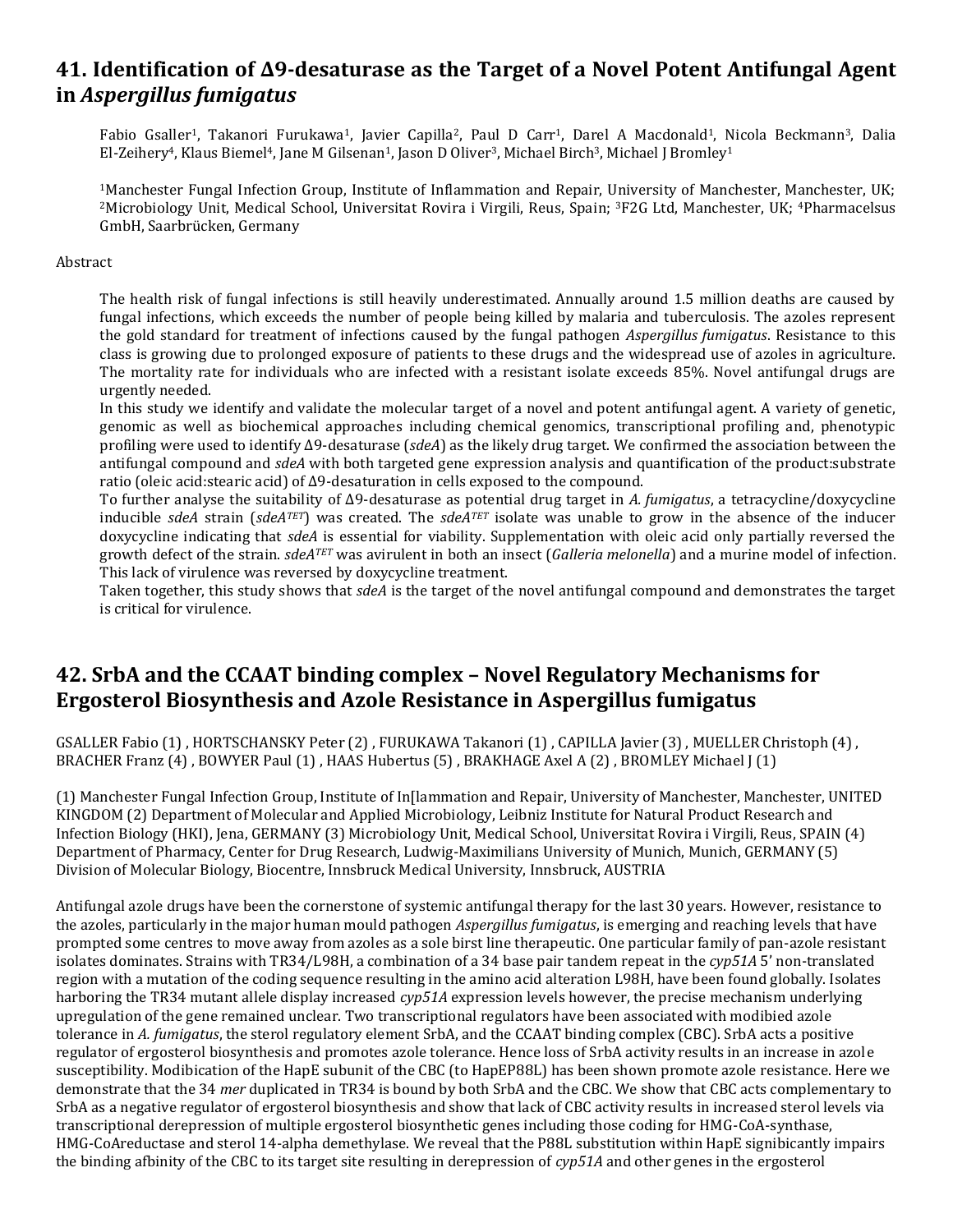### **41. Identification of ∆9-desaturase as the Target of a Novel Potent Antifungal Agent in** *Aspergillus fumigatus*

Fabio Gsaller<sup>1</sup>, Takanori Furukawa<sup>1</sup>, Javier Capilla<sup>2</sup>, Paul D Carr<sup>1</sup>, Darel A Macdonald<sup>1</sup>, Nicola Beckmann<sup>3</sup>, Dalia El-Zeihery<sup>4</sup>, Klaus Biemel<sup>4</sup>, Jane M Gilsenan<sup>1</sup>, Jason D Oliver<sup>3</sup>, Michael Birch<sup>3</sup>, Michael J Bromley<sup>1</sup>

<sup>1</sup>Manchester Fungal Infection Group, Institute of Inflammation and Repair, University of Manchester, Manchester, UK; <sup>2</sup>Microbiology Unit, Medical School, Universitat Rovira i Virgili, Reus, Spain; 3F2G Ltd, Manchester, UK; 4Pharmacelsus GmbH, Saarbrücken, Germany

### Abstract

The health risk of fungal infections is still heavily underestimated. Annually around 1.5 million deaths are caused by fungal infections, which exceeds the number of people being killed by malaria and tuberculosis. The azoles represent the gold standard for treatment of infections caused by the fungal pathogen *Aspergillus fumigatus*. Resistance to this class is growing due to prolonged exposure of patients to these drugs and the widespread use of azoles in agriculture. The mortality rate for individuals who are infected with a resistant isolate exceeds 85%. Novel antifungal drugs are urgently needed.

In this study we identify and validate the molecular target of a novel and potent antifungal agent. A variety of genetic, genomic as well as biochemical approaches including chemical genomics, transcriptional profiling and, phenotypic profiling were used to identify ∆9-desaturase (*sdeA*) as the likely drug target. We confirmed the association between the antifungal compound and *sdeA* with both targeted gene expression analysis and quantification of the product:substrate ratio (oleic acid:stearic acid) of ∆9-desaturation in cells exposed to the compound.

To further analyse the suitability of ∆9-desaturase as potential drug target in *A. fumigatus*, a tetracycline/doxycycline inducible *sdeA* strain (*sdeATET*) was created. The *sdeATET* isolate was unable to grow in the absence of the inducer doxycycline indicating that *sdeA* is essential for viability. Supplementation with oleic acid only partially reversed the growth defect of the strain. *sdeATET* was avirulent in both an insect (*Galleria melonella*) and a murine model of infection. This lack of virulence was reversed by doxycycline treatment.

Taken together, this study shows that *sdeA* is the target of the novel antifungal compound and demonstrates the target is critical for virulence.

### **42. SrbA and the CCAAT binding complex – Novel Regulatory Mechanisms for Ergosterol Biosynthesis and Azole Resistance in Aspergillus fumigatus**

GSALLER Fabio (1) , HORTSCHANSKY Peter (2) , FURUKAWA Takanori (1) , CAPILLA Javier (3) , MUELLER Christoph (4) , BRACHER Franz (4) , BOWYER Paul (1) , HAAS Hubertus (5) , BRAKHAGE Axel A (2) , BROMLEY Michael J (1)

(1) Manchester Fungal Infection Group, Institute of In[lammation and Repair, University of Manchester, Manchester, UNITED KINGDOM (2) Department of Molecular and Applied Microbiology, Leibniz Institute for Natural Product Research and Infection Biology (HKI), Jena, GERMANY (3) Microbiology Unit, Medical School, Universitat Rovira i Virgili, Reus, SPAIN (4) Department of Pharmacy, Center for Drug Research, Ludwig-Maximilians University of Munich, Munich, GERMANY (5) Division of Molecular Biology, Biocentre, Innsbruck Medical University, Innsbruck, AUSTRIA

Antifungal azole drugs have been the cornerstone of systemic antifungal therapy for the last 30 years. However, resistance to the azoles, particularly in the major human mould pathogen *Aspergillus fumigatus*, is emerging and reaching levels that have prompted some centres to move away from azoles as a sole birst line therapeutic. One particular family of pan-azole resistant isolates dominates. Strains with TR34/L98H, a combination of a 34 base pair tandem repeat in the *cyp51A* 5' non-translated region with a mutation of the coding sequence resulting in the amino acid alteration L98H, have been found globally. Isolates harboring the TR34 mutant allele display increased *cyp51A* expression levels however, the precise mechanism underlying upregulation of the gene remained unclear. Two transcriptional regulators have been associated with modibied azole tolerance in *A. fumigatus*, the sterol regulatory element SrbA, and the CCAAT binding complex (CBC). SrbA acts a positive regulator of ergosterol biosynthesis and promotes azole tolerance. Hence loss of SrbA activity results in an increase in azole susceptibility. Modibication of the HapE subunit of the CBC (to HapEP88L) has been shown promote azole resistance. Here we demonstrate that the 34 *mer* duplicated in TR34 is bound by both SrbA and the CBC. We show that CBC acts complementary to SrbA as a negative regulator of ergosterol biosynthesis and show that lack of CBC activity results in increased sterol levels via transcriptional derepression of multiple ergosterol biosynthetic genes including those coding for HMG-CoA-synthase, HMG-CoAreductase and sterol 14-alpha demethylase. We reveal that the P88L substitution within HapE signibicantly impairs the binding afbinity of the CBC to its target site resulting in derepression of *cyp51A* and other genes in the ergosterol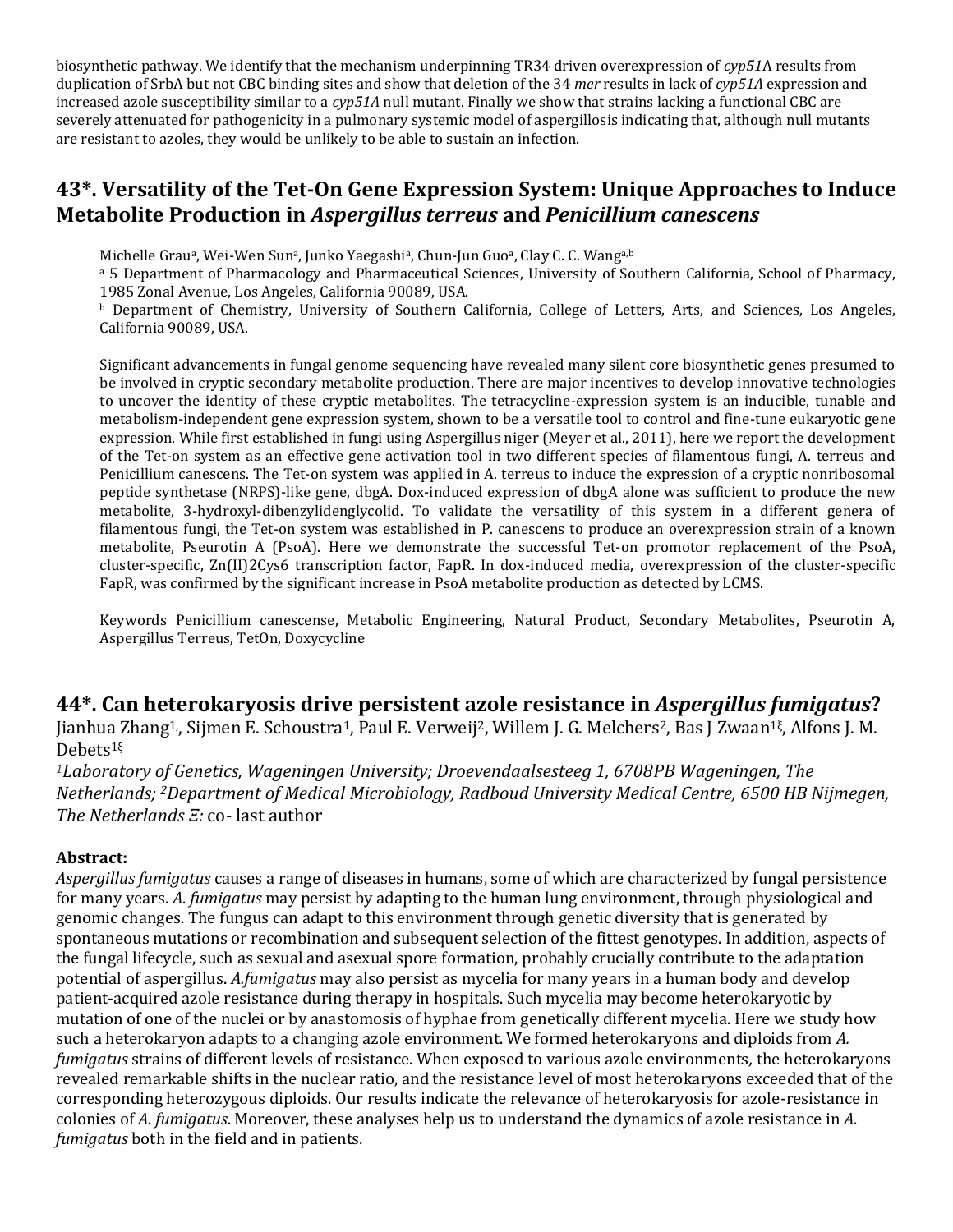biosynthetic pathway. We identify that the mechanism underpinning TR34 driven overexpression of *cyp51*A results from duplication of SrbA but not CBC binding sites and show that deletion of the 34 *mer* results in lack of *cyp51A* expression and increased azole susceptibility similar to a *cyp51A* null mutant. Finally we show that strains lacking a functional CBC are severely attenuated for pathogenicity in a pulmonary systemic model of aspergillosis indicating that, although null mutants are resistant to azoles, they would be unlikely to be able to sustain an infection.

### **43\*. Versatility of the Tet-On Gene Expression System: Unique Approaches to Induce Metabolite Production in** *Aspergillus terreus* **and** *Penicillium canescens*

Michelle Grau<sup>a</sup>, Wei-Wen Sun<sup>a</sup>, Junko Yaegashi<sup>a</sup>, Chun-Jun Guo<sup>a</sup>, Clay C. C. Wang<sup>a,b</sup>

a 5 Department of Pharmacology and Pharmaceutical Sciences, University of Southern California, School of Pharmacy, 1985 Zonal Avenue, Los Angeles, California 90089, USA.

<sup>b</sup> Department of Chemistry, University of Southern California, College of Letters, Arts, and Sciences, Los Angeles, California 90089, USA.

Significant advancements in fungal genome sequencing have revealed many silent core biosynthetic genes presumed to be involved in cryptic secondary metabolite production. There are major incentives to develop innovative technologies to uncover the identity of these cryptic metabolites. The tetracycline-expression system is an inducible, tunable and metabolism-independent gene expression system, shown to be a versatile tool to control and fine-tune eukaryotic gene expression. While first established in fungi using Aspergillus niger (Meyer et al., 2011), here we report the development of the Tet-on system as an effective gene activation tool in two different species of filamentous fungi, A. terreus and Penicillium canescens. The Tet-on system was applied in A. terreus to induce the expression of a cryptic nonribosomal peptide synthetase (NRPS)-like gene, dbgA. Dox-induced expression of dbgA alone was sufficient to produce the new metabolite, 3-hydroxyl-dibenzylidenglycolid. To validate the versatility of this system in a different genera of filamentous fungi, the Tet-on system was established in P. canescens to produce an overexpression strain of a known metabolite, Pseurotin A (PsoA). Here we demonstrate the successful Tet-on promotor replacement of the PsoA, cluster-specific, Zn(II)2Cys6 transcription factor, FapR. In dox-induced media, overexpression of the cluster-specific FapR, was confirmed by the significant increase in PsoA metabolite production as detected by LCMS.

Keywords Penicillium canescense, Metabolic Engineering, Natural Product, Secondary Metabolites, Pseurotin A, Aspergillus Terreus, TetOn, Doxycycline

### **44\*. Can heterokaryosis drive persistent azole resistance in** *Aspergillus fumigatus***?**

Jianhua Zhang<sup>1,</sup>, Sijmen E. Schoustra<sup>1</sup>, Paul E. Verweij<sup>2</sup>, Willem J. G. Melchers<sup>2</sup>, Bas J Zwaan<sup>1ξ</sup>, Alfons J. M. Debets1<sup>ξ</sup>

*<sup>1</sup>Laboratory of Genetics, Wageningen University; Droevendaalsesteeg 1, 6708PB Wageningen, The Netherlands; 2Department of Medical Microbiology, Radboud University Medical Centre, 6500 HB Nijmegen, The Netherlands Ξ:* co- last author

### **Abstract:**

*Aspergillus fumigatus* causes a range of diseases in humans, some of which are characterized by fungal persistence for many years. *A. fumigatus* may persist by adapting to the human lung environment, through physiological and genomic changes. The fungus can adapt to this environment through genetic diversity that is generated by spontaneous mutations or recombination and subsequent selection of the fittest genotypes. In addition, aspects of the fungal lifecycle, such as sexual and asexual spore formation, probably crucially contribute to the adaptation potential of aspergillus. *A.fumigatus* may also persist as mycelia for many years in a human body and develop patient-acquired azole resistance during therapy in hospitals. Such mycelia may become heterokaryotic by mutation of one of the nuclei or by anastomosis of hyphae from genetically different mycelia. Here we study how such a heterokaryon adapts to a changing azole environment. We formed heterokaryons and diploids from *A. fumigatus* strains of different levels of resistance. When exposed to various azole environments*,* the heterokaryons revealed remarkable shifts in the nuclear ratio, and the resistance level of most heterokaryons exceeded that of the corresponding heterozygous diploids. Our results indicate the relevance of heterokaryosis for azole-resistance in colonies of *A. fumigatus*. Moreover, these analyses help us to understand the dynamics of azole resistance in *A. fumigatus* both in the field and in patients*.*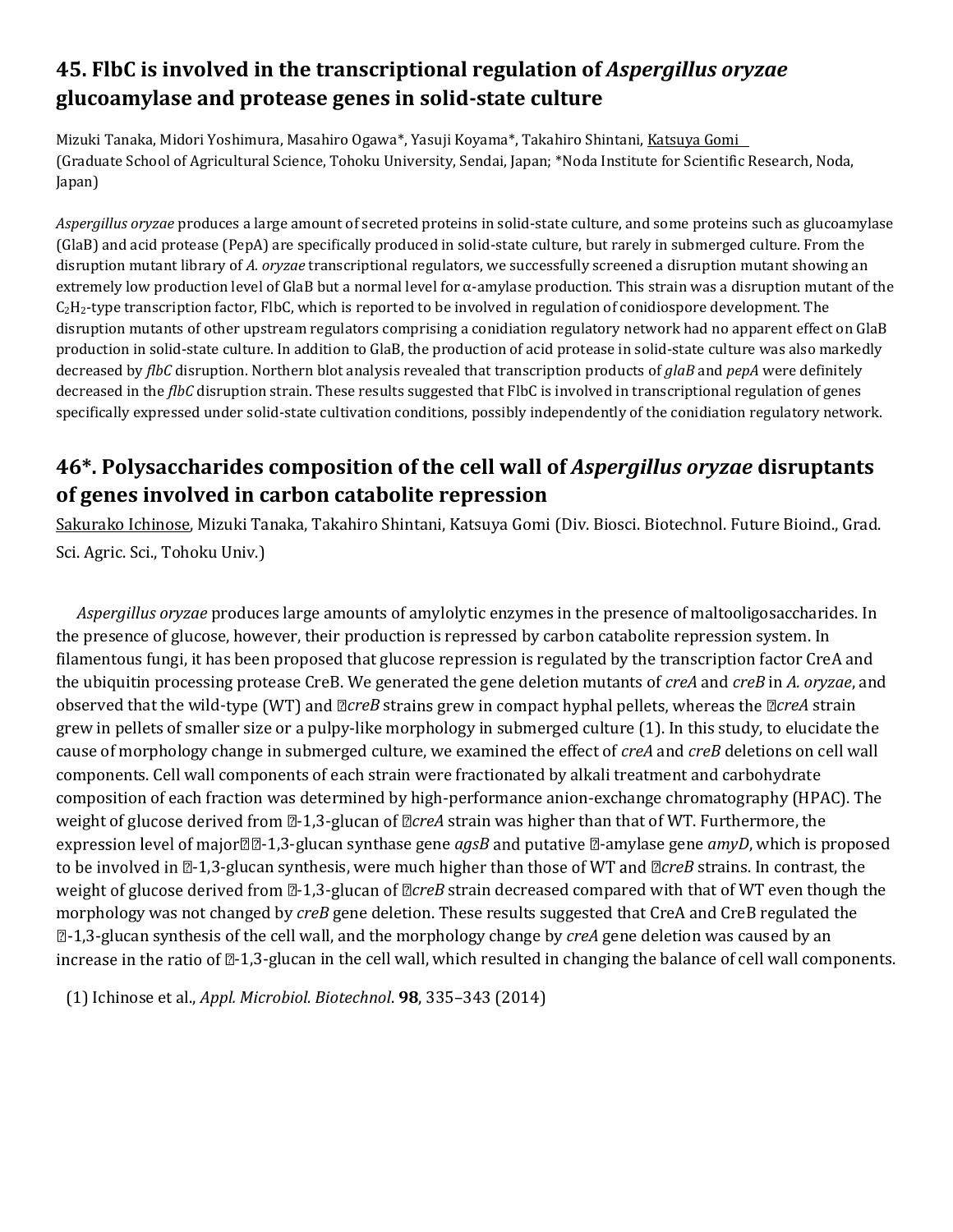## **45. FlbC is involved in the transcriptional regulation of** *Aspergillus oryzae* **glucoamylase and protease genes in solid-state culture**

Mizuki Tanaka, Midori Yoshimura, Masahiro Ogawa\*, Yasuji Koyama\*, Takahiro Shintani, Katsuya Gomi (Graduate School of Agricultural Science, Tohoku University, Sendai, Japan; \*Noda Institute for Scientific Research, Noda, Japan)

*Aspergillus oryzae* produces a large amount of secreted proteins in solid-state culture, and some proteins such as glucoamylase (GlaB) and acid protease (PepA) are specifically produced in solid-state culture, but rarely in submerged culture. From the disruption mutant library of *A. oryzae* transcriptional regulators, we successfully screened a disruption mutant showing an extremely low production level of GlaB but a normal level for α-amylase production. This strain was a disruption mutant of the  $C_2H_2$ -type transcription factor, FlbC, which is reported to be involved in regulation of conidiospore development. The disruption mutants of other upstream regulators comprising a conidiation regulatory network had no apparent effect on GlaB production in solid-state culture. In addition to GlaB, the production of acid protease in solid-state culture was also markedly decreased by *flbC* disruption. Northern blot analysis revealed that transcription products of *glaB* and *pepA* were definitely decreased in the *flbC* disruption strain. These results suggested that FlbC is involved in transcriptional regulation of genes specifically expressed under solid-state cultivation conditions, possibly independently of the conidiation regulatory network.

## **46\*. Polysaccharides composition of the cell wall of** *Aspergillus oryzae* **disruptants of genes involved in carbon catabolite repression**

Sakurako Ichinose, Mizuki Tanaka, Takahiro Shintani, Katsuya Gomi (Div. Biosci. Biotechnol. Future Bioind., Grad. Sci. Agric. Sci., Tohoku Univ.)

 *Aspergillus oryzae* produces large amounts of amylolytic enzymes in the presence of maltooligosaccharides. In the presence of glucose, however, their production is repressed by carbon catabolite repression system. In filamentous fungi, it has been proposed that glucose repression is regulated by the transcription factor CreA and the ubiquitin processing protease CreB. We generated the gene deletion mutants of *creA* and *creB* in *A. oryzae*, and observed that the wild-type (WT) and  $\mathbb{Z}$ *creB* strains grew in compact hyphal pellets, whereas the  $\mathbb{Z}$ *creA* strain grew in pellets of smaller size or a pulpy-like morphology in submerged culture (1). In this study, to elucidate the cause of morphology change in submerged culture, we examined the effect of *creA* and *creB* deletions on cell wall components. Cell wall components of each strain were fractionated by alkali treatment and carbohydrate composition of each fraction was determined by high-performance anion-exchange chromatography (HPAC). The weight of glucose derived from  $\mathbb{Z}-1,3$ -glucan of  $\mathbb{Z}$ creA strain was higher than that of WT. Furthermore, the expression level of major<sup>n</sup>el-1,3-glucan synthase gene *agsB* and putative <sup>n</sup>-amylase gene *amyD*, which is proposed to be involved in  $\mathbb{Z}$ -1,3-glucan synthesis, were much higher than those of WT and  $\mathbb{Z}$ *creB* strains. In contrast, the weight of glucose derived from **2-1,3-glucan of** *DcreB* strain decreased compared with that of WT even though the morphology was not changed by *creB* gene deletion. These results suggested that CreA and CreB regulated the -1,3-glucan synthesis of the cell wall, and the morphology change by *creA* gene deletion was caused by an increase in the ratio of  $[2-1,3-$ glucan in the cell wall, which resulted in changing the balance of cell wall components.

(1) Ichinose et al., *Appl. Microbiol. Biotechnol*. **98**, 335–343 (2014)